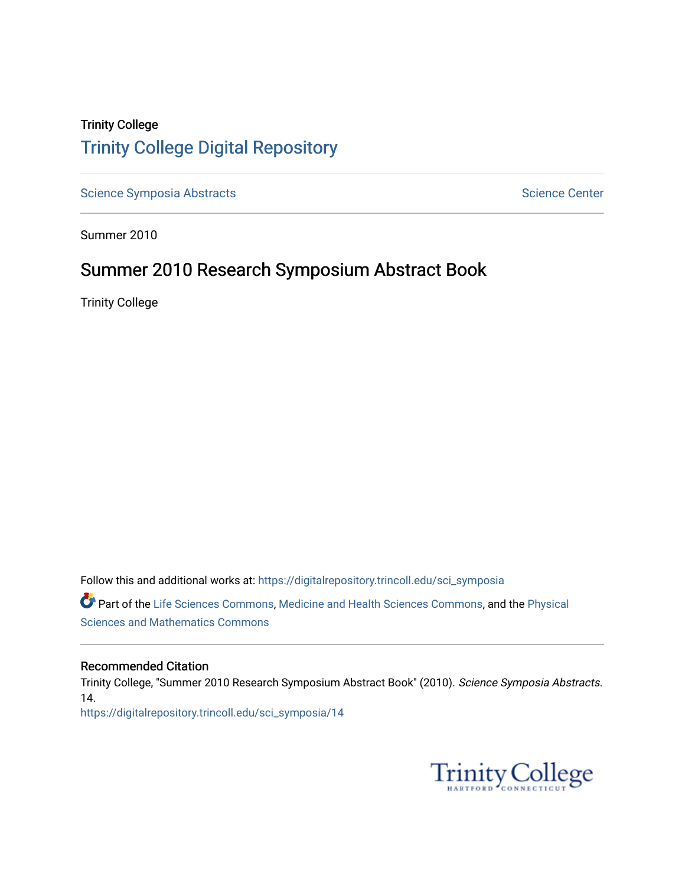# Trinity College [Trinity College Digital Repository](https://digitalrepository.trincoll.edu/)

[Science Symposia Abstracts](https://digitalrepository.trincoll.edu/sci_symposia) **Science Center** Science Center

Summer 2010

# Summer 2010 Research Symposium Abstract Book

Trinity College

Follow this and additional works at: [https://digitalrepository.trincoll.edu/sci\\_symposia](https://digitalrepository.trincoll.edu/sci_symposia?utm_source=digitalrepository.trincoll.edu%2Fsci_symposia%2F14&utm_medium=PDF&utm_campaign=PDFCoverPages)  Part of the [Life Sciences Commons,](http://network.bepress.com/hgg/discipline/1016?utm_source=digitalrepository.trincoll.edu%2Fsci_symposia%2F14&utm_medium=PDF&utm_campaign=PDFCoverPages) [Medicine and Health Sciences Commons,](http://network.bepress.com/hgg/discipline/648?utm_source=digitalrepository.trincoll.edu%2Fsci_symposia%2F14&utm_medium=PDF&utm_campaign=PDFCoverPages) and the [Physical](http://network.bepress.com/hgg/discipline/114?utm_source=digitalrepository.trincoll.edu%2Fsci_symposia%2F14&utm_medium=PDF&utm_campaign=PDFCoverPages)  [Sciences and Mathematics Commons](http://network.bepress.com/hgg/discipline/114?utm_source=digitalrepository.trincoll.edu%2Fsci_symposia%2F14&utm_medium=PDF&utm_campaign=PDFCoverPages) 

#### Recommended Citation

Trinity College, "Summer 2010 Research Symposium Abstract Book" (2010). Science Symposia Abstracts. 14. [https://digitalrepository.trincoll.edu/sci\\_symposia/14](https://digitalrepository.trincoll.edu/sci_symposia/14?utm_source=digitalrepository.trincoll.edu%2Fsci_symposia%2F14&utm_medium=PDF&utm_campaign=PDFCoverPages) 

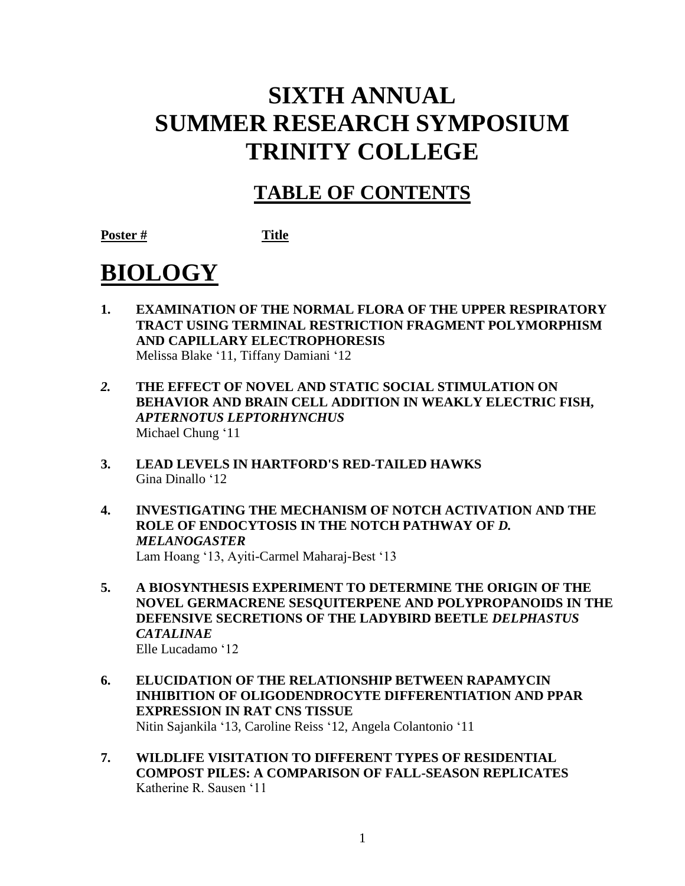# **SIXTH ANNUAL SUMMER RESEARCH SYMPOSIUM TRINITY COLLEGE**

# **TABLE OF CONTENTS**

**Poster # Title**

# **BIOLOGY**

- **1. EXAMINATION OF THE NORMAL FLORA OF THE UPPER RESPIRATORY TRACT USING TERMINAL RESTRICTION FRAGMENT POLYMORPHISM AND CAPILLARY ELECTROPHORESIS** Melissa Blake '11, Tiffany Damiani '12
- *2.* **THE EFFECT OF NOVEL AND STATIC SOCIAL STIMULATION ON BEHAVIOR AND BRAIN CELL ADDITION IN WEAKLY ELECTRIC FISH,**  *APTERNOTUS LEPTORHYNCHUS* Michael Chung '11
- **3. LEAD LEVELS IN HARTFORD'S RED-TAILED HAWKS** Gina Dinallo '12
- **4. INVESTIGATING THE MECHANISM OF NOTCH ACTIVATION AND THE ROLE OF ENDOCYTOSIS IN THE NOTCH PATHWAY OF** *D. MELANOGASTER* Lam Hoang '13, Ayiti-Carmel Maharaj-Best '13
- **5. A BIOSYNTHESIS EXPERIMENT TO DETERMINE THE ORIGIN OF THE NOVEL GERMACRENE SESQUITERPENE AND POLYPROPANOIDS IN THE DEFENSIVE SECRETIONS OF THE LADYBIRD BEETLE** *DELPHASTUS CATALINAE* Elle Lucadamo '12
- **6. ELUCIDATION OF THE RELATIONSHIP BETWEEN RAPAMYCIN INHIBITION OF OLIGODENDROCYTE DIFFERENTIATION AND PPAR EXPRESSION IN RAT CNS TISSUE** Nitin Sajankila '13, Caroline Reiss '12, Angela Colantonio '11
- **7. WILDLIFE VISITATION TO DIFFERENT TYPES OF RESIDENTIAL COMPOST PILES: A COMPARISON OF FALL-SEASON REPLICATES**  Katherine R. Sausen '11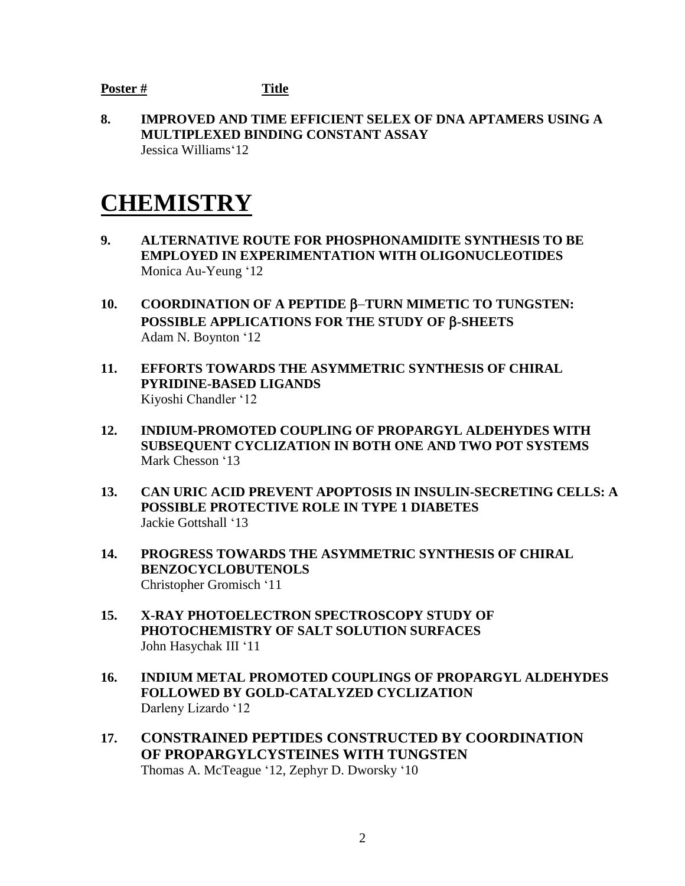**8. IMPROVED AND TIME EFFICIENT SELEX OF DNA APTAMERS USING A MULTIPLEXED BINDING CONSTANT ASSAY**  Jessica Williams'12

# **CHEMISTRY**

- **9. ALTERNATIVE ROUTE FOR PHOSPHONAMIDITE SYNTHESIS TO BE EMPLOYED IN EXPERIMENTATION WITH OLIGONUCLEOTIDES** Monica Au-Yeung '12
- **10. COORDINATION OF A PEPTIDE TURN MIMETIC TO TUNGSTEN: POSSIBLE APPLICATIONS FOR THE STUDY OF -SHEETS** Adam N. Boynton '12
- **11. EFFORTS TOWARDS THE ASYMMETRIC SYNTHESIS OF CHIRAL PYRIDINE-BASED LIGANDS** Kiyoshi Chandler '12
- **12. INDIUM-PROMOTED COUPLING OF PROPARGYL ALDEHYDES WITH SUBSEQUENT CYCLIZATION IN BOTH ONE AND TWO POT SYSTEMS** Mark Chesson '13
- **13. CAN URIC ACID PREVENT APOPTOSIS IN INSULIN-SECRETING CELLS: A POSSIBLE PROTECTIVE ROLE IN TYPE 1 DIABETES** Jackie Gottshall '13
- **14. PROGRESS TOWARDS THE ASYMMETRIC SYNTHESIS OF CHIRAL BENZOCYCLOBUTENOLS** Christopher Gromisch '11
- **15. X-RAY PHOTOELECTRON SPECTROSCOPY STUDY OF PHOTOCHEMISTRY OF SALT SOLUTION SURFACES** John Hasychak III '11
- **16. INDIUM METAL PROMOTED COUPLINGS OF PROPARGYL ALDEHYDES FOLLOWED BY GOLD-CATALYZED CYCLIZATION** Darleny Lizardo '12
- **17. CONSTRAINED PEPTIDES CONSTRUCTED BY COORDINATION OF PROPARGYLCYSTEINES WITH TUNGSTEN** Thomas A. McTeague '12, Zephyr D. Dworsky '10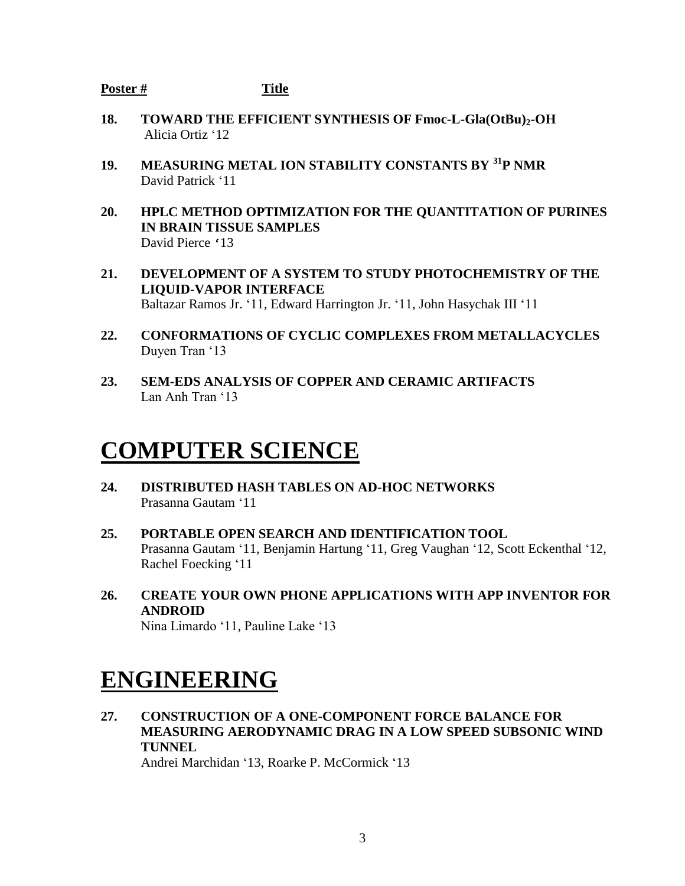- **18. TOWARD THE EFFICIENT SYNTHESIS OF Fmoc-L-Gla(OtBu)2-OH** Alicia Ortiz '12
- **19. MEASURING METAL ION STABILITY CONSTANTS BY <sup>31</sup>P NMR** David Patrick '11
- **20. HPLC METHOD OPTIMIZATION FOR THE QUANTITATION OF PURINES IN BRAIN TISSUE SAMPLES**  David Pierce '13
- **21. DEVELOPMENT OF A SYSTEM TO STUDY PHOTOCHEMISTRY OF THE LIQUID-VAPOR INTERFACE** Baltazar Ramos Jr. '11, Edward Harrington Jr. '11, John Hasychak III '11
- **22. CONFORMATIONS OF CYCLIC COMPLEXES FROM METALLACYCLES** Duyen Tran '13
- **23. SEM-EDS ANALYSIS OF COPPER AND CERAMIC ARTIFACTS** Lan Anh Tran '13

# **COMPUTER SCIENCE**

- **24. DISTRIBUTED HASH TABLES ON AD-HOC NETWORKS** Prasanna Gautam '11
- **25. PORTABLE OPEN SEARCH AND IDENTIFICATION TOOL** Prasanna Gautam '11, Benjamin Hartung '11, Greg Vaughan '12, Scott Eckenthal '12, Rachel Foecking '11
- **26. CREATE YOUR OWN PHONE APPLICATIONS WITH APP INVENTOR FOR ANDROID** Nina Limardo '11, Pauline Lake '13

# **ENGINEERING**

**27. CONSTRUCTION OF A ONE-COMPONENT FORCE BALANCE FOR MEASURING AERODYNAMIC DRAG IN A LOW SPEED SUBSONIC WIND TUNNEL** Andrei Marchidan '13, Roarke P. McCormick '13

3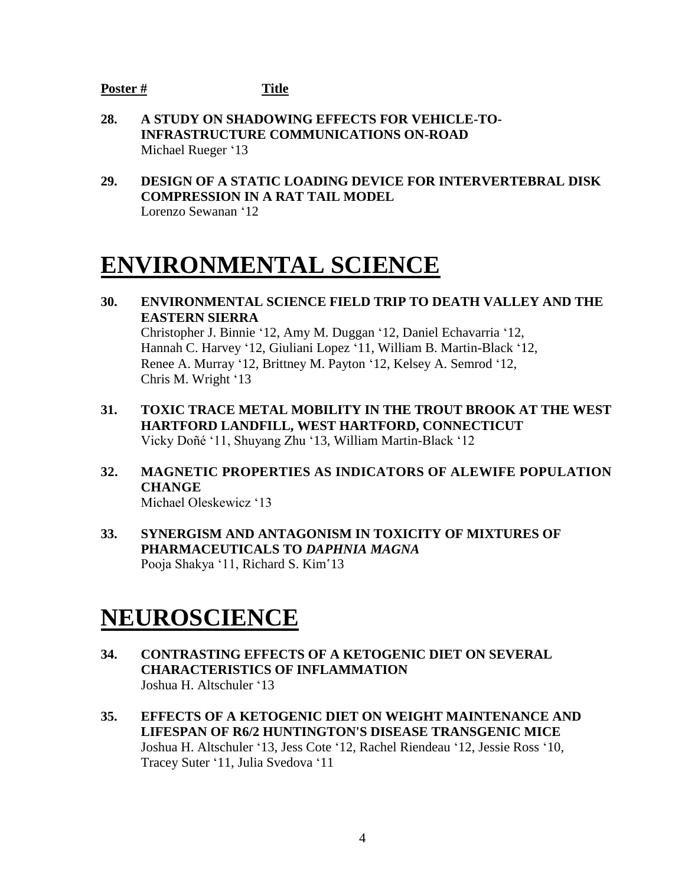- **28. A STUDY ON SHADOWING EFFECTS FOR VEHICLE-TO-INFRASTRUCTURE COMMUNICATIONS ON-ROAD** Michael Rueger '13
- **29. DESIGN OF A STATIC LOADING DEVICE FOR INTERVERTEBRAL DISK COMPRESSION IN A RAT TAIL MODEL** Lorenzo Sewanan '12

# **ENVIRONMENTAL SCIENCE**

**30. ENVIRONMENTAL SCIENCE FIELD TRIP TO DEATH VALLEY AND THE EASTERN SIERRA**

Christopher J. Binnie '12, Amy M. Duggan '12, Daniel Echavarria '12, Hannah C. Harvey '12, Giuliani Lopez '11, William B. Martin-Black '12, Renee A. Murray '12, Brittney M. Payton '12, Kelsey A. Semrod '12, Chris M. Wright '13

- **31. TOXIC TRACE METAL MOBILITY IN THE TROUT BROOK AT THE WEST HARTFORD LANDFILL, WEST HARTFORD, CONNECTICUT** Vicky Doñé '11, Shuyang Zhu '13, William Martin-Black '12
- **32. MAGNETIC PROPERTIES AS INDICATORS OF ALEWIFE POPULATION CHANGE** Michael Oleskewicz '13
- **33. SYNERGISM AND ANTAGONISM IN TOXICITY OF MIXTURES OF PHARMACEUTICALS TO** *DAPHNIA MAGNA*

Pooja Shakya '11, Richard S. Kim'13

# **NEUROSCIENCE**

- **34. CONTRASTING EFFECTS OF A KETOGENIC DIET ON SEVERAL CHARACTERISTICS OF INFLAMMATION** Joshua H. Altschuler '13
- **35. EFFECTS OF A KETOGENIC DIET ON WEIGHT MAINTENANCE AND LIFESPAN OF R6/2 HUNTINGTON'S DISEASE TRANSGENIC MICE** Joshua H. Altschuler '13, Jess Cote '12, Rachel Riendeau '12, Jessie Ross '10, Tracey Suter '11, Julia Svedova '11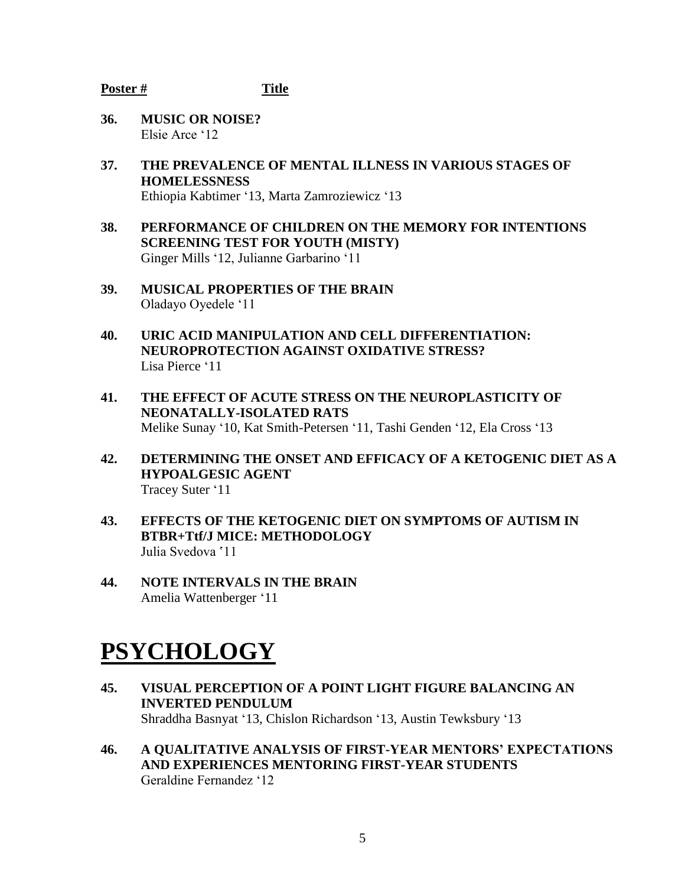- **36. MUSIC OR NOISE?** Elsie Arce '12
- **37. THE PREVALENCE OF MENTAL ILLNESS IN VARIOUS STAGES OF HOMELESSNESS** Ethiopia Kabtimer '13, Marta Zamroziewicz '13
- **38. PERFORMANCE OF CHILDREN ON THE MEMORY FOR INTENTIONS SCREENING TEST FOR YOUTH (MISTY)** Ginger Mills '12, Julianne Garbarino '11
- **39. MUSICAL PROPERTIES OF THE BRAIN** Oladayo Oyedele '11
- **40. URIC ACID MANIPULATION AND CELL DIFFERENTIATION: NEUROPROTECTION AGAINST OXIDATIVE STRESS?** Lisa Pierce '11
- **41. THE EFFECT OF ACUTE STRESS ON THE NEUROPLASTICITY OF NEONATALLY-ISOLATED RATS**  Melike Sunay '10, Kat Smith-Petersen '11, Tashi Genden '12, Ela Cross '13
- **42. DETERMINING THE ONSET AND EFFICACY OF A KETOGENIC DIET AS A HYPOALGESIC AGENT** Tracey Suter '11
- **43. EFFECTS OF THE KETOGENIC DIET ON SYMPTOMS OF AUTISM IN BTBR+Ttf/J MICE: METHODOLOGY** Julia Svedova '11
- **44. NOTE INTERVALS IN THE BRAIN** Amelia Wattenberger '11

# **PSYCHOLOGY**

- **45. VISUAL PERCEPTION OF A POINT LIGHT FIGURE BALANCING AN INVERTED PENDULUM** Shraddha Basnyat '13, Chislon Richardson '13, Austin Tewksbury '13
- **46. A QUALITATIVE ANALYSIS OF FIRST-YEAR MENTORS' EXPECTATIONS AND EXPERIENCES MENTORING FIRST-YEAR STUDENTS** Geraldine Fernandez '12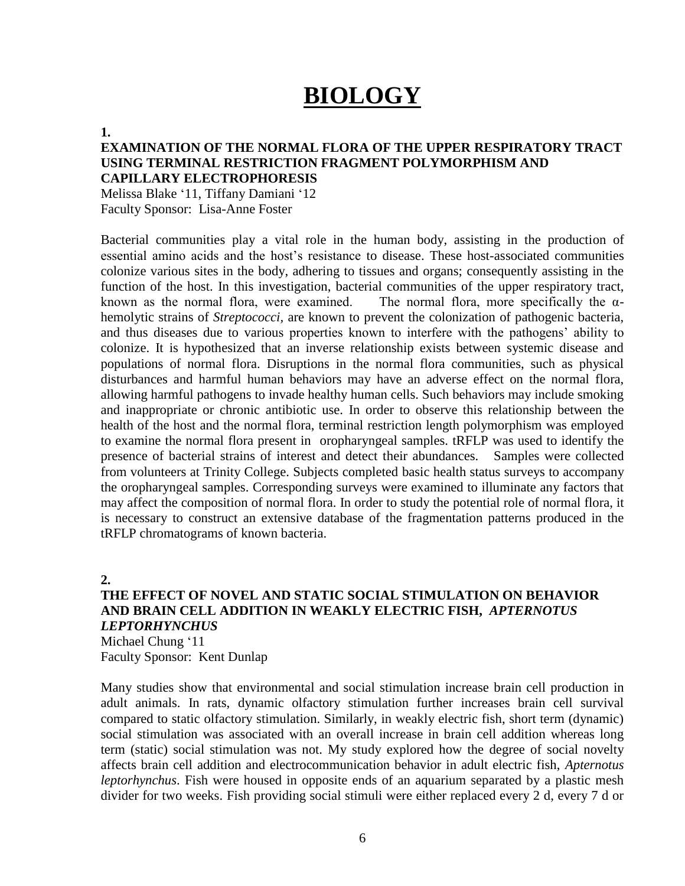# **BIOLOGY**

#### **1.**

### **EXAMINATION OF THE NORMAL FLORA OF THE UPPER RESPIRATORY TRACT USING TERMINAL RESTRICTION FRAGMENT POLYMORPHISM AND CAPILLARY ELECTROPHORESIS**

Melissa Blake '11, Tiffany Damiani '12 Faculty Sponsor: Lisa-Anne Foster

Bacterial communities play a vital role in the human body, assisting in the production of essential amino acids and the host's resistance to disease. These host-associated communities colonize various sites in the body, adhering to tissues and organs; consequently assisting in the function of the host. In this investigation, bacterial communities of the upper respiratory tract, known as the normal flora, were examined. The normal flora, more specifically the  $\alpha$ hemolytic strains of *Streptococci,* are known to prevent the colonization of pathogenic bacteria, and thus diseases due to various properties known to interfere with the pathogens' ability to colonize. It is hypothesized that an inverse relationship exists between systemic disease and populations of normal flora. Disruptions in the normal flora communities, such as physical disturbances and harmful human behaviors may have an adverse effect on the normal flora, allowing harmful pathogens to invade healthy human cells. Such behaviors may include smoking and inappropriate or chronic antibiotic use. In order to observe this relationship between the health of the host and the normal flora, terminal restriction length polymorphism was employed to examine the normal flora present in oropharyngeal samples. tRFLP was used to identify the presence of bacterial strains of interest and detect their abundances. Samples were collected from volunteers at Trinity College. Subjects completed basic health status surveys to accompany the oropharyngeal samples. Corresponding surveys were examined to illuminate any factors that may affect the composition of normal flora. In order to study the potential role of normal flora, it is necessary to construct an extensive database of the fragmentation patterns produced in the tRFLP chromatograms of known bacteria.

#### **2.**

### **THE EFFECT OF NOVEL AND STATIC SOCIAL STIMULATION ON BEHAVIOR AND BRAIN CELL ADDITION IN WEAKLY ELECTRIC FISH,** *APTERNOTUS LEPTORHYNCHUS* Michael Chung '11

Faculty Sponsor: Kent Dunlap

Many studies show that environmental and social stimulation increase brain cell production in adult animals. In rats, dynamic olfactory stimulation further increases brain cell survival compared to static olfactory stimulation. Similarly, in weakly electric fish, short term (dynamic) social stimulation was associated with an overall increase in brain cell addition whereas long term (static) social stimulation was not. My study explored how the degree of social novelty affects brain cell addition and electrocommunication behavior in adult electric fish, *Apternotus leptorhynchus*. Fish were housed in opposite ends of an aquarium separated by a plastic mesh divider for two weeks. Fish providing social stimuli were either replaced every 2 d, every 7 d or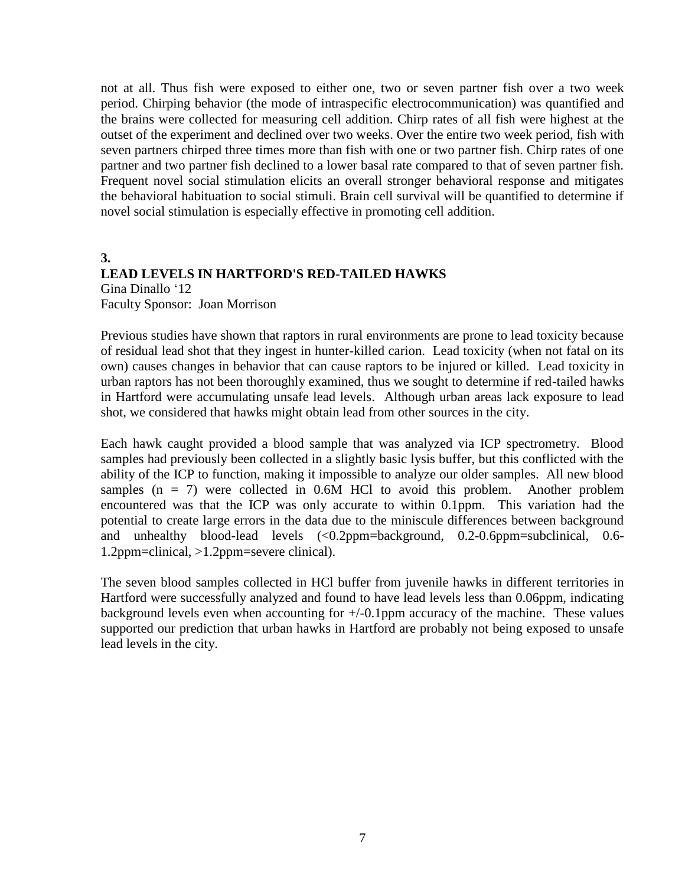not at all. Thus fish were exposed to either one, two or seven partner fish over a two week period. Chirping behavior (the mode of intraspecific electrocommunication) was quantified and the brains were collected for measuring cell addition. Chirp rates of all fish were highest at the outset of the experiment and declined over two weeks. Over the entire two week period, fish with seven partners chirped three times more than fish with one or two partner fish. Chirp rates of one partner and two partner fish declined to a lower basal rate compared to that of seven partner fish. Frequent novel social stimulation elicits an overall stronger behavioral response and mitigates the behavioral habituation to social stimuli. Brain cell survival will be quantified to determine if novel social stimulation is especially effective in promoting cell addition.

### **3. LEAD LEVELS IN HARTFORD'S RED-TAILED HAWKS** Gina Dinallo '12 Faculty Sponsor: Joan Morrison

Previous studies have shown that raptors in rural environments are prone to lead toxicity because of residual lead shot that they ingest in hunter-killed carion. Lead toxicity (when not fatal on its own) causes changes in behavior that can cause raptors to be injured or killed. Lead toxicity in urban raptors has not been thoroughly examined, thus we sought to determine if red-tailed hawks in Hartford were accumulating unsafe lead levels. Although urban areas lack exposure to lead shot, we considered that hawks might obtain lead from other sources in the city.

Each hawk caught provided a blood sample that was analyzed via ICP spectrometry. Blood samples had previously been collected in a slightly basic lysis buffer, but this conflicted with the ability of the ICP to function, making it impossible to analyze our older samples. All new blood samples  $(n = 7)$  were collected in 0.6M HCl to avoid this problem. Another problem encountered was that the ICP was only accurate to within 0.1ppm. This variation had the potential to create large errors in the data due to the miniscule differences between background and unhealthy blood-lead levels  $\langle$  -0.2ppm=background, 0.2-0.6ppm=subclinical, 0.6-1.2ppm=clinical, >1.2ppm=severe clinical).

The seven blood samples collected in HCl buffer from juvenile hawks in different territories in Hartford were successfully analyzed and found to have lead levels less than 0.06ppm, indicating background levels even when accounting for  $+/-0.1$ ppm accuracy of the machine. These values supported our prediction that urban hawks in Hartford are probably not being exposed to unsafe lead levels in the city.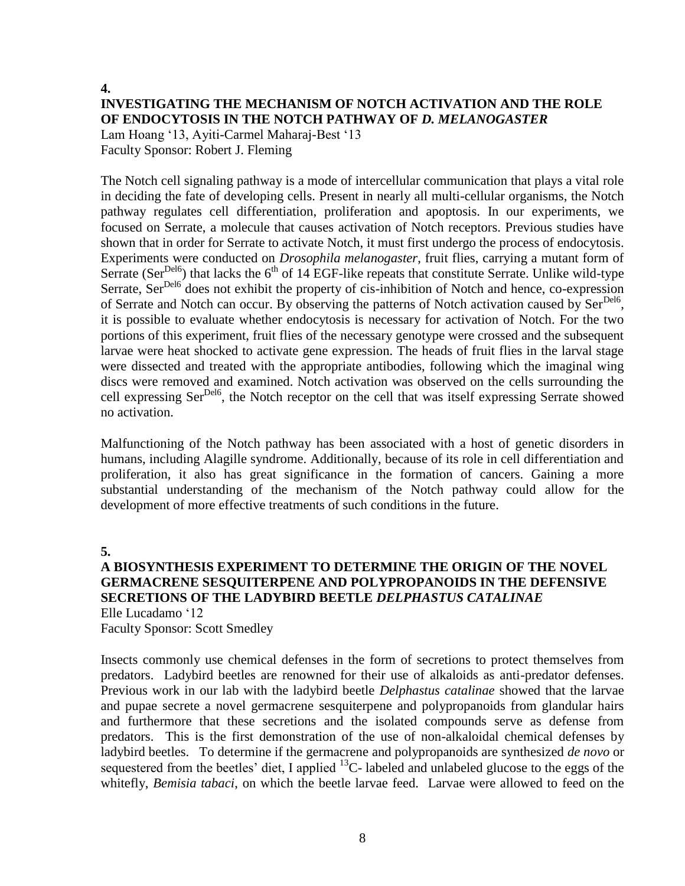# **4. INVESTIGATING THE MECHANISM OF NOTCH ACTIVATION AND THE ROLE OF ENDOCYTOSIS IN THE NOTCH PATHWAY OF** *D. MELANOGASTER*

Lam Hoang '13, Ayiti-Carmel Maharaj-Best '13 Faculty Sponsor: Robert J. Fleming

The Notch cell signaling pathway is a mode of intercellular communication that plays a vital role in deciding the fate of developing cells. Present in nearly all multi-cellular organisms, the Notch pathway regulates cell differentiation, proliferation and apoptosis. In our experiments, we focused on Serrate, a molecule that causes activation of Notch receptors. Previous studies have shown that in order for Serrate to activate Notch, it must first undergo the process of endocytosis. Experiments were conducted on *Drosophila melanogaster*, fruit flies, carrying a mutant form of Serrate (Ser<sup>Del6</sup>) that lacks the  $6<sup>th</sup>$  of 14 EGF-like repeats that constitute Serrate. Unlike wild-type Serrate, Ser<sup>Del6</sup> does not exhibit the property of cis-inhibition of Notch and hence, co-expression of Serrate and Notch can occur. By observing the patterns of Notch activation caused by Ser<sup>Del6</sup>, it is possible to evaluate whether endocytosis is necessary for activation of Notch. For the two portions of this experiment, fruit flies of the necessary genotype were crossed and the subsequent larvae were heat shocked to activate gene expression. The heads of fruit flies in the larval stage were dissected and treated with the appropriate antibodies, following which the imaginal wing discs were removed and examined. Notch activation was observed on the cells surrounding the cell expressing Ser<sup>Del6</sup>, the Notch receptor on the cell that was itself expressing Serrate showed no activation.

Malfunctioning of the Notch pathway has been associated with a host of genetic disorders in humans, including Alagille syndrome. Additionally, because of its role in cell differentiation and proliferation, it also has great significance in the formation of cancers. Gaining a more substantial understanding of the mechanism of the Notch pathway could allow for the development of more effective treatments of such conditions in the future.

**5.**

### **A BIOSYNTHESIS EXPERIMENT TO DETERMINE THE ORIGIN OF THE NOVEL GERMACRENE SESQUITERPENE AND POLYPROPANOIDS IN THE DEFENSIVE SECRETIONS OF THE LADYBIRD BEETLE** *DELPHASTUS CATALINAE* Elle Lucadamo '12

Faculty Sponsor: Scott Smedley

Insects commonly use chemical defenses in the form of secretions to protect themselves from predators. Ladybird beetles are renowned for their use of alkaloids as anti-predator defenses. Previous work in our lab with the ladybird beetle *Delphastus catalinae* showed that the larvae and pupae secrete a novel germacrene sesquiterpene and polypropanoids from glandular hairs and furthermore that these secretions and the isolated compounds serve as defense from predators. This is the first demonstration of the use of non-alkaloidal chemical defenses by ladybird beetles. To determine if the germacrene and polypropanoids are synthesized *de novo* or sequestered from the beetles' diet, I applied  $^{13}$ C- labeled and unlabeled glucose to the eggs of the whitefly, *Bemisia tabaci*, on which the beetle larvae feed. Larvae were allowed to feed on the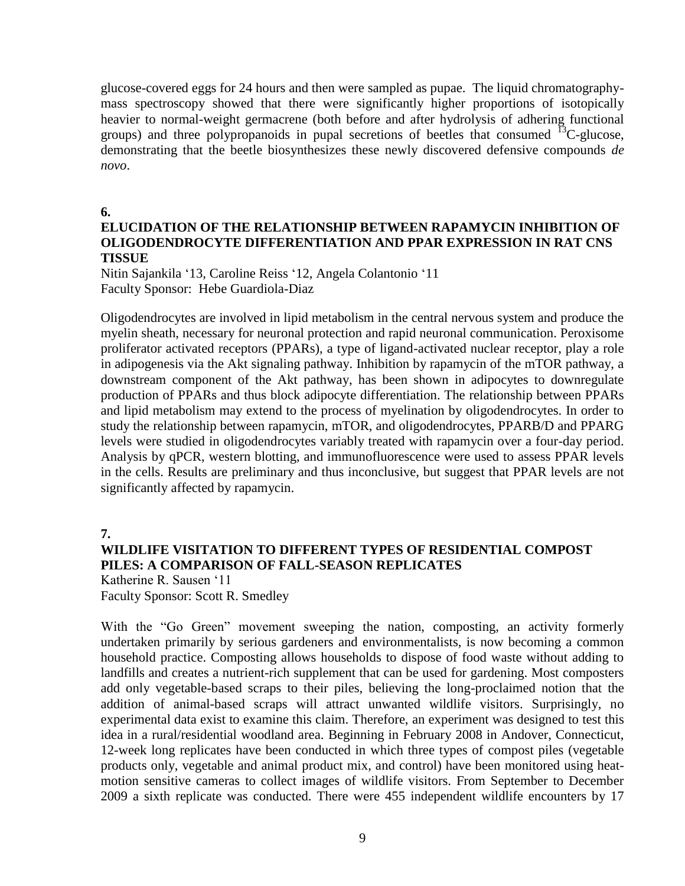glucose-covered eggs for 24 hours and then were sampled as pupae. The liquid chromatographymass spectroscopy showed that there were significantly higher proportions of isotopically heavier to normal-weight germacrene (both before and after hydrolysis of adhering functional groups) and three polypropanoids in pupal secretions of beetles that consumed  $^{13}$ C-glucose, demonstrating that the beetle biosynthesizes these newly discovered defensive compounds *de novo*.

**6.**

### **ELUCIDATION OF THE RELATIONSHIP BETWEEN RAPAMYCIN INHIBITION OF OLIGODENDROCYTE DIFFERENTIATION AND PPAR EXPRESSION IN RAT CNS TISSUE**

Nitin Sajankila '13, Caroline Reiss '12, Angela Colantonio '11 Faculty Sponsor: Hebe Guardiola-Diaz

Oligodendrocytes are involved in lipid metabolism in the central nervous system and produce the myelin sheath, necessary for neuronal protection and rapid neuronal communication. Peroxisome proliferator activated receptors (PPARs), a type of ligand-activated nuclear receptor, play a role in adipogenesis via the Akt signaling pathway. Inhibition by rapamycin of the mTOR pathway, a downstream component of the Akt pathway, has been shown in adipocytes to downregulate production of PPARs and thus block adipocyte differentiation. The relationship between PPARs and lipid metabolism may extend to the process of myelination by oligodendrocytes. In order to study the relationship between rapamycin, mTOR, and oligodendrocytes, PPARB/D and PPARG levels were studied in oligodendrocytes variably treated with rapamycin over a four-day period. Analysis by qPCR, western blotting, and immunofluorescence were used to assess PPAR levels in the cells. Results are preliminary and thus inconclusive, but suggest that PPAR levels are not significantly affected by rapamycin.

**7.**

# **WILDLIFE VISITATION TO DIFFERENT TYPES OF RESIDENTIAL COMPOST PILES: A COMPARISON OF FALL-SEASON REPLICATES**

Katherine R. Sausen '11 Faculty Sponsor: Scott R. Smedley

With the "Go Green" movement sweeping the nation, composting, an activity formerly undertaken primarily by serious gardeners and environmentalists, is now becoming a common household practice. Composting allows households to dispose of food waste without adding to landfills and creates a nutrient-rich supplement that can be used for gardening. Most composters add only vegetable-based scraps to their piles, believing the long-proclaimed notion that the addition of animal-based scraps will attract unwanted wildlife visitors. Surprisingly, no experimental data exist to examine this claim. Therefore, an experiment was designed to test this idea in a rural/residential woodland area. Beginning in February 2008 in Andover, Connecticut, 12-week long replicates have been conducted in which three types of compost piles (vegetable products only, vegetable and animal product mix, and control) have been monitored using heatmotion sensitive cameras to collect images of wildlife visitors. From September to December 2009 a sixth replicate was conducted. There were 455 independent wildlife encounters by 17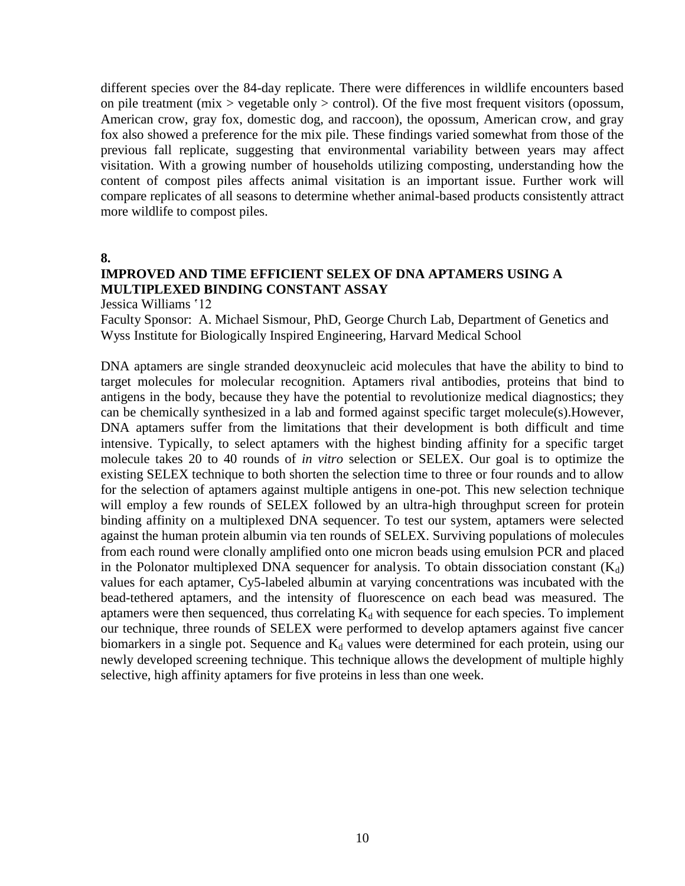different species over the 84-day replicate. There were differences in wildlife encounters based on pile treatment (mix > vegetable only > control). Of the five most frequent visitors (opossum, American crow, gray fox, domestic dog, and raccoon), the opossum, American crow, and gray fox also showed a preference for the mix pile. These findings varied somewhat from those of the previous fall replicate, suggesting that environmental variability between years may affect visitation. With a growing number of households utilizing composting, understanding how the content of compost piles affects animal visitation is an important issue. Further work will compare replicates of all seasons to determine whether animal-based products consistently attract more wildlife to compost piles.

**8.**

### **IMPROVED AND TIME EFFICIENT SELEX OF DNA APTAMERS USING A MULTIPLEXED BINDING CONSTANT ASSAY**

Jessica Williams '12

Faculty Sponsor: A. Michael Sismour, PhD, George Church Lab, Department of Genetics and Wyss Institute for Biologically Inspired Engineering, Harvard Medical School

DNA aptamers are single stranded deoxynucleic acid molecules that have the ability to bind to target molecules for molecular recognition. Aptamers rival antibodies, proteins that bind to antigens in the body, because they have the potential to revolutionize medical diagnostics; they can be chemically synthesized in a lab and formed against specific target molecule(s).However, DNA aptamers suffer from the limitations that their development is both difficult and time intensive. Typically, to select aptamers with the highest binding affinity for a specific target molecule takes 20 to 40 rounds of *in vitro* selection or SELEX. Our goal is to optimize the existing SELEX technique to both shorten the selection time to three or four rounds and to allow for the selection of aptamers against multiple antigens in one-pot. This new selection technique will employ a few rounds of SELEX followed by an ultra-high throughput screen for protein binding affinity on a multiplexed DNA sequencer. To test our system, aptamers were selected against the human protein albumin via ten rounds of SELEX. Surviving populations of molecules from each round were clonally amplified onto one micron beads using emulsion PCR and placed in the Polonator multiplexed DNA sequencer for analysis. To obtain dissociation constant  $(K_d)$ values for each aptamer, Cy5-labeled albumin at varying concentrations was incubated with the bead-tethered aptamers, and the intensity of fluorescence on each bead was measured. The aptamers were then sequenced, thus correlating  $K_d$  with sequence for each species. To implement our technique, three rounds of SELEX were performed to develop aptamers against five cancer biomarkers in a single pot. Sequence and  $K_d$  values were determined for each protein, using our newly developed screening technique. This technique allows the development of multiple highly selective, high affinity aptamers for five proteins in less than one week.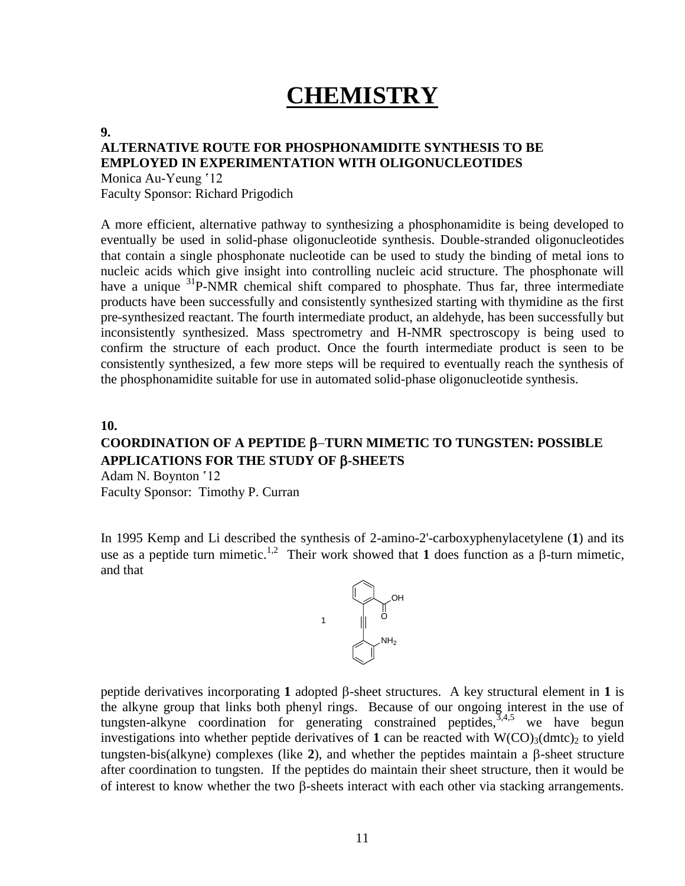# **CHEMISTRY**

#### **9.**

### **ALTERNATIVE ROUTE FOR PHOSPHONAMIDITE SYNTHESIS TO BE EMPLOYED IN EXPERIMENTATION WITH OLIGONUCLEOTIDES**

Monica Au-Yeung '12 Faculty Sponsor: Richard Prigodich

A more efficient, alternative pathway to synthesizing a phosphonamidite is being developed to eventually be used in solid-phase oligonucleotide synthesis. Double-stranded oligonucleotides that contain a single phosphonate nucleotide can be used to study the binding of metal ions to nucleic acids which give insight into controlling nucleic acid structure. The phosphonate will have a unique <sup>31</sup>P-NMR chemical shift compared to phosphate. Thus far, three intermediate products have been successfully and consistently synthesized starting with thymidine as the first pre-synthesized reactant. The fourth intermediate product, an aldehyde, has been successfully but inconsistently synthesized. Mass spectrometry and H-NMR spectroscopy is being used to confirm the structure of each product. Once the fourth intermediate product is seen to be consistently synthesized, a few more steps will be required to eventually reach the synthesis of the phosphonamidite suitable for use in automated solid-phase oligonucleotide synthesis.

#### **10.**

# **COORDINATION OF A PEPTIDE TURN MIMETIC TO TUNGSTEN: POSSIBLE APPLICATIONS FOR THE STUDY OF -SHEETS**

Adam N. Boynton '12 Faculty Sponsor: Timothy P. Curran

In 1995 Kemp and Li described the synthesis of 2-amino-2'-carboxyphenylacetylene (**1**) and its use as a peptide turn mimetic.<sup>1,2</sup> Their work showed that **1** does function as a  $\beta$ -turn mimetic, and that



peptide derivatives incorporating 1 adopted  $\beta$ -sheet structures. A key structural element in 1 is the alkyne group that links both phenyl rings. Because of our ongoing interest in the use of tungsten-alkyne coordination for generating constrained peptides,  $3,4,5$  we have begun investigations into whether peptide derivatives of 1 can be reacted with  $W(CO)<sub>3</sub>(dmt)$ <sub>2</sub> to yield tungsten-bis(alkyne) complexes (like  $2$ ), and whether the peptides maintain a  $\beta$ -sheet structure after coordination to tungsten. If the peptides do maintain their sheet structure, then it would be of interest to know whether the two  $\beta$ -sheets interact with each other via stacking arrangements.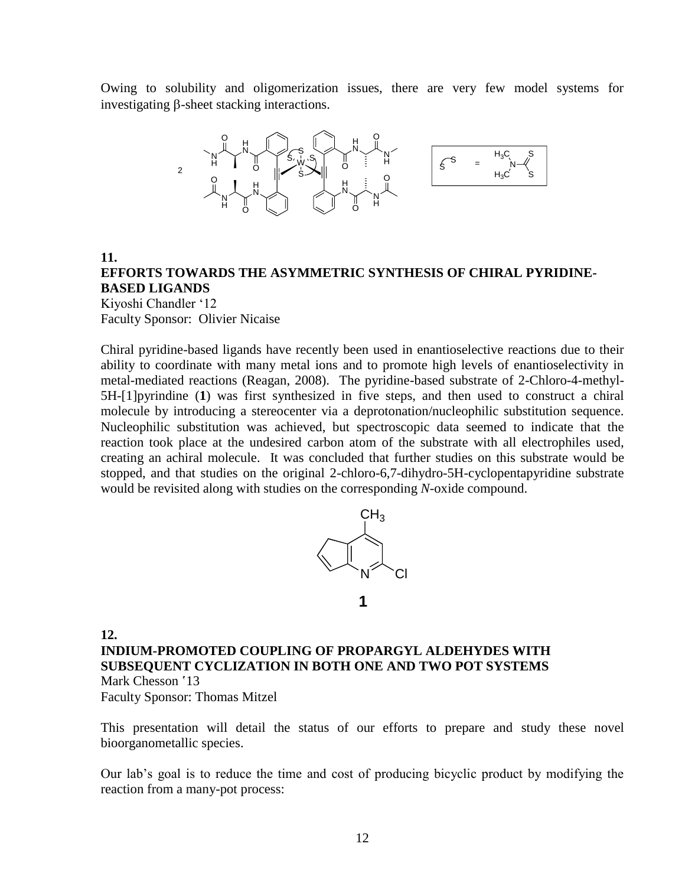Owing to solubility and oligomerization issues, there are very few model systems for investigating  $\beta$ -sheet stacking interactions.



**11. EFFORTS TOWARDS THE ASYMMETRIC SYNTHESIS OF CHIRAL PYRIDINE-BASED LIGANDS**

Kiyoshi Chandler '12 Faculty Sponsor: Olivier Nicaise

Chiral pyridine-based ligands have recently been used in enantioselective reactions due to their ability to coordinate with many metal ions and to promote high levels of enantioselectivity in metal-mediated reactions (Reagan, 2008). The pyridine-based substrate of 2-Chloro-4-methyl-5H-[1]pyrindine (**1**) was first synthesized in five steps, and then used to construct a chiral molecule by introducing a stereocenter via a deprotonation/nucleophilic substitution sequence. Nucleophilic substitution was achieved, but spectroscopic data seemed to indicate that the reaction took place at the undesired carbon atom of the substrate with all electrophiles used, creating an achiral molecule. It was concluded that further studies on this substrate would be stopped, and that studies on the original 2-chloro-6,7-dihydro-5H-cyclopentapyridine substrate would be revisited along with studies on the corresponding *N*-oxide compound.



**12.**

**INDIUM-PROMOTED COUPLING OF PROPARGYL ALDEHYDES WITH SUBSEQUENT CYCLIZATION IN BOTH ONE AND TWO POT SYSTEMS** Mark Chesson '13

Faculty Sponsor: Thomas Mitzel

This presentation will detail the status of our efforts to prepare and study these novel bioorganometallic species.

Our lab's goal is to reduce the time and cost of producing bicyclic product by modifying the reaction from a many-pot process: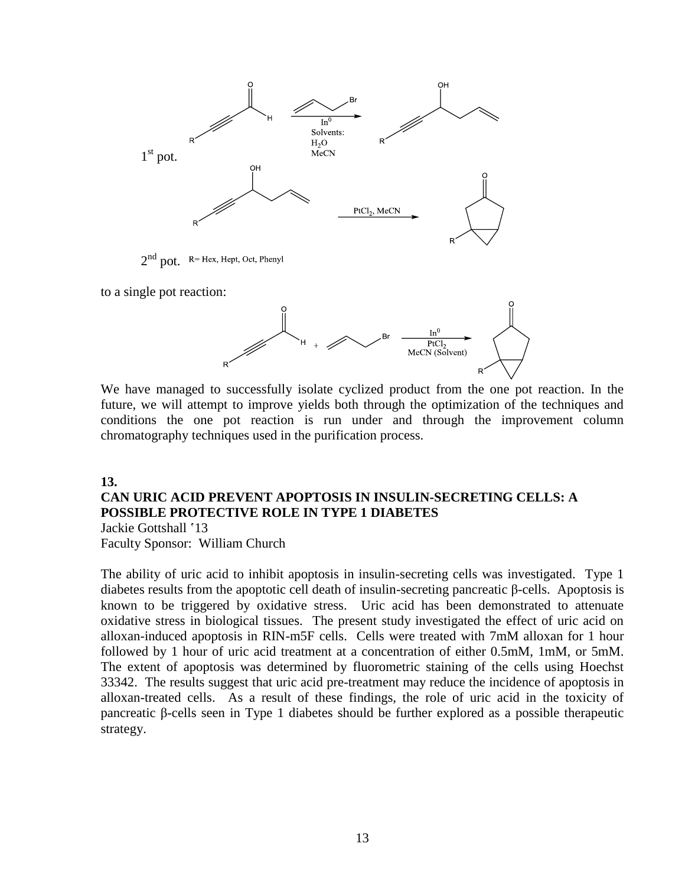

 $2<sup>nd</sup>$  pot. R= Hex, Hept, Oct, Phenyl

to a single pot reaction:



We have managed to successfully isolate cyclized product from the one pot reaction. In the future, we will attempt to improve yields both through the optimization of the techniques and conditions the one pot reaction is run under and through the improvement column chromatography techniques used in the purification process.

#### **13.**

# **CAN URIC ACID PREVENT APOPTOSIS IN INSULIN-SECRETING CELLS: A POSSIBLE PROTECTIVE ROLE IN TYPE 1 DIABETES**

Jackie Gottshall '13 Faculty Sponsor: William Church

The ability of uric acid to inhibit apoptosis in insulin-secreting cells was investigated. Type 1 diabetes results from the apoptotic cell death of insulin-secreting pancreatic β-cells. Apoptosis is known to be triggered by oxidative stress. Uric acid has been demonstrated to attenuate oxidative stress in biological tissues. The present study investigated the effect of uric acid on alloxan-induced apoptosis in RIN-m5F cells. Cells were treated with 7mM alloxan for 1 hour followed by 1 hour of uric acid treatment at a concentration of either 0.5mM, 1mM, or 5mM. The extent of apoptosis was determined by fluorometric staining of the cells using Hoechst 33342. The results suggest that uric acid pre-treatment may reduce the incidence of apoptosis in alloxan-treated cells. As a result of these findings, the role of uric acid in the toxicity of pancreatic β-cells seen in Type 1 diabetes should be further explored as a possible therapeutic strategy.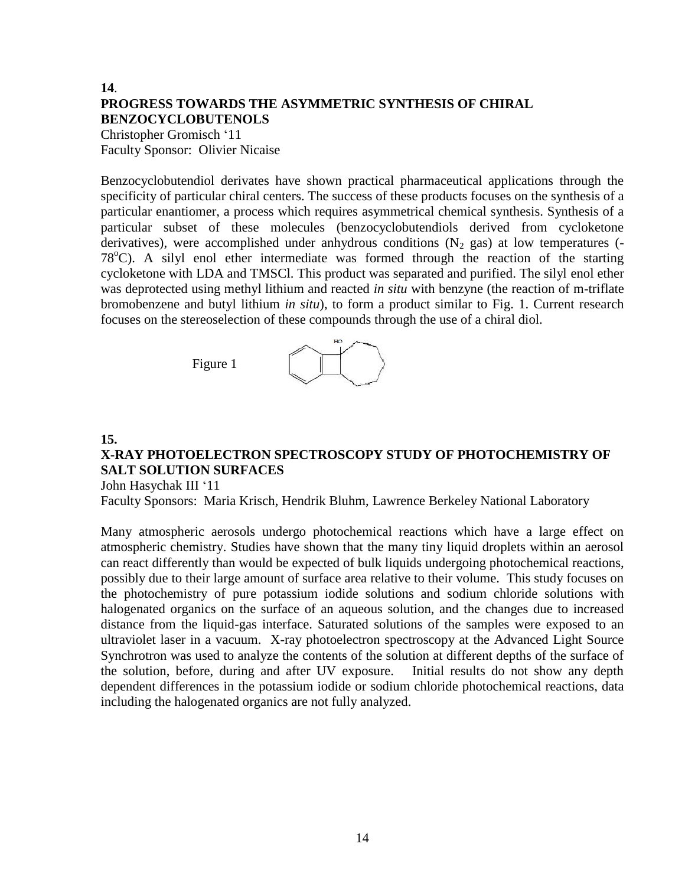### **14**. **PROGRESS TOWARDS THE ASYMMETRIC SYNTHESIS OF CHIRAL BENZOCYCLOBUTENOLS**

Christopher Gromisch '11 Faculty Sponsor: Olivier Nicaise

Benzocyclobutendiol derivates have shown practical pharmaceutical applications through the specificity of particular chiral centers. The success of these products focuses on the synthesis of a particular enantiomer, a process which requires asymmetrical chemical synthesis. Synthesis of a particular subset of these molecules (benzocyclobutendiols derived from cycloketone derivatives), were accomplished under anhydrous conditions  $(N_2$  gas) at low temperatures (- $78^{\circ}$ C). A silyl enol ether intermediate was formed through the reaction of the starting cycloketone with LDA and TMSCl. This product was separated and purified. The silyl enol ether was deprotected using methyl lithium and reacted *in situ* with benzyne (the reaction of m-triflate bromobenzene and butyl lithium *in situ*), to form a product similar to Fig. 1. Current research focuses on the stereoselection of these compounds through the use of a chiral diol.



### **15.**

# **X-RAY PHOTOELECTRON SPECTROSCOPY STUDY OF PHOTOCHEMISTRY OF SALT SOLUTION SURFACES**

John Hasychak III '11

Faculty Sponsors: Maria Krisch, Hendrik Bluhm, Lawrence Berkeley National Laboratory

Many atmospheric aerosols undergo photochemical reactions which have a large effect on atmospheric chemistry. Studies have shown that the many tiny liquid droplets within an aerosol can react differently than would be expected of bulk liquids undergoing photochemical reactions, possibly due to their large amount of surface area relative to their volume. This study focuses on the photochemistry of pure potassium iodide solutions and sodium chloride solutions with halogenated organics on the surface of an aqueous solution, and the changes due to increased distance from the liquid-gas interface. Saturated solutions of the samples were exposed to an ultraviolet laser in a vacuum. X-ray photoelectron spectroscopy at the Advanced Light Source Synchrotron was used to analyze the contents of the solution at different depths of the surface of the solution, before, during and after UV exposure. Initial results do not show any depth dependent differences in the potassium iodide or sodium chloride photochemical reactions, data including the halogenated organics are not fully analyzed.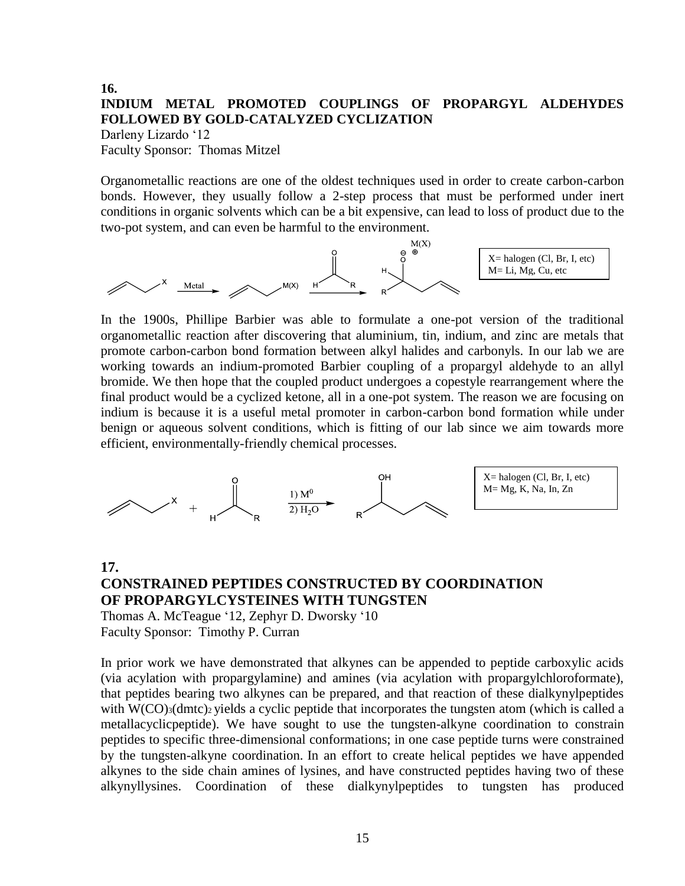### **16. INDIUM METAL PROMOTED COUPLINGS OF PROPARGYL ALDEHYDES FOLLOWED BY GOLD-CATALYZED CYCLIZATION** Darleny Lizardo '12

Faculty Sponsor: Thomas Mitzel

Organometallic reactions are one of the oldest techniques used in order to create carbon-carbon bonds. However, they usually follow a 2-step process that must be performed under inert conditions in organic solvents which can be a bit expensive, can lead to loss of product due to the two-pot system, and can even be harmful to the environment.



In the 1900s, Phillipe Barbier was able to formulate a one-pot version of the traditional organometallic reaction after discovering that aluminium, tin, indium, and zinc are metals that promote carbon-carbon bond formation between alkyl halides and carbonyls. In our lab we are working towards an indium-promoted Barbier coupling of a propargyl aldehyde to an allyl bromide. We then hope that the coupled product undergoes a copestyle rearrangement where the final product would be a cyclized ketone, all in a one-pot system. The reason we are focusing on indium is because it is a useful metal promoter in carbon-carbon bond formation while under benign or aqueous solvent conditions, which is fitting of our lab since we aim towards more efficient, environmentally-friendly chemical processes.



### **17. CONSTRAINED PEPTIDES CONSTRUCTED BY COORDINATION OF PROPARGYLCYSTEINES WITH TUNGSTEN** Thomas A. McTeague '12, Zephyr D. Dworsky '10

Faculty Sponsor: Timothy P. Curran

In prior work we have demonstrated that alkynes can be appended to peptide carboxylic acids (via acylation with propargylamine) and amines (via acylation with propargylchloroformate), that peptides bearing two alkynes can be prepared, and that reaction of these dialkynylpeptides with  $W(CO)_{3}(dmtc)_{2}$  yields a cyclic peptide that incorporates the tungsten atom (which is called a metallacyclicpeptide). We have sought to use the tungsten-alkyne coordination to constrain peptides to specific three-dimensional conformations; in one case peptide turns were constrained by the tungsten-alkyne coordination. In an effort to create helical peptides we have appended alkynes to the side chain amines of lysines, and have constructed peptides having two of these alkynyllysines. Coordination of these dialkynylpeptides to tungsten has produced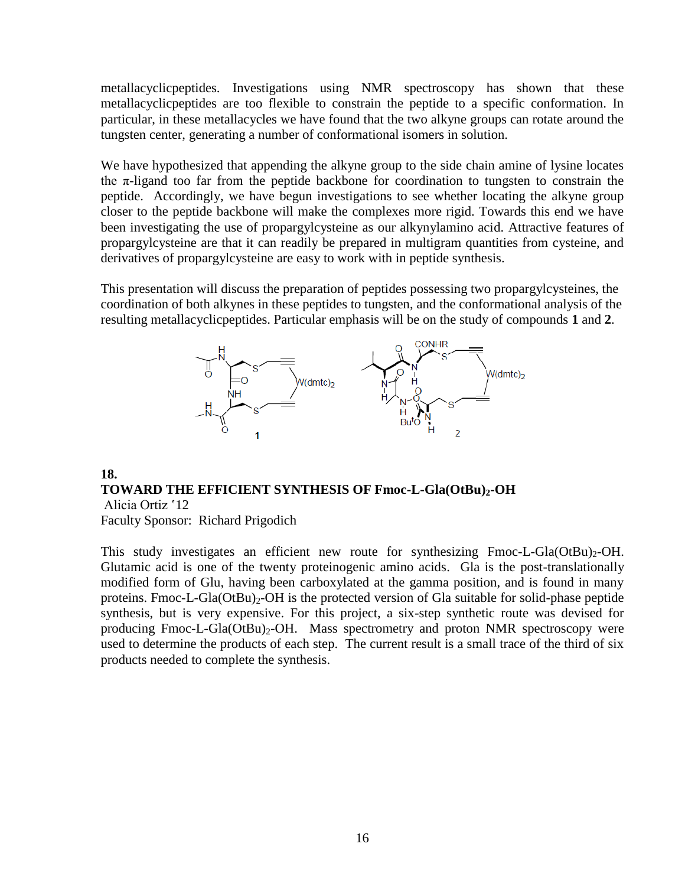metallacyclicpeptides. Investigations using NMR spectroscopy has shown that these metallacyclicpeptides are too flexible to constrain the peptide to a specific conformation. In particular, in these metallacycles we have found that the two alkyne groups can rotate around the tungsten center, generating a number of conformational isomers in solution.

We have hypothesized that appending the alkyne group to the side chain amine of lysine locates the  $\pi$ -ligand too far from the peptide backbone for coordination to tungsten to constrain the peptide. Accordingly, we have begun investigations to see whether locating the alkyne group closer to the peptide backbone will make the complexes more rigid. Towards this end we have been investigating the use of propargylcysteine as our alkynylamino acid. Attractive features of propargylcysteine are that it can readily be prepared in multigram quantities from cysteine, and derivatives of propargylcysteine are easy to work with in peptide synthesis.

This presentation will discuss the preparation of peptides possessing two propargylcysteines, the coordination of both alkynes in these peptides to tungsten, and the conformational analysis of the resulting metallacyclicpeptides. Particular emphasis will be on the study of compounds **1** and **2**.



# **18. TOWARD THE EFFICIENT SYNTHESIS OF Fmoc-L-Gla(OtBu)2-OH** Alicia Ortiz '12

Faculty Sponsor: Richard Prigodich

This study investigates an efficient new route for synthesizing  $Fmoc-L-Gla(OtBu)<sub>2</sub>-OH$ . Glutamic acid is one of the twenty proteinogenic amino acids. Gla is the post-translationally modified form of Glu, having been carboxylated at the gamma position, and is found in many proteins. Fmoc-L-Gla( $OtBu$ )<sub>2</sub>-OH is the protected version of Gla suitable for solid-phase peptide synthesis, but is very expensive. For this project, a six-step synthetic route was devised for producing  $Fmoc-L-Gla(OtBu)_{2}-OH$ . Mass spectrometry and proton NMR spectroscopy were used to determine the products of each step. The current result is a small trace of the third of six products needed to complete the synthesis.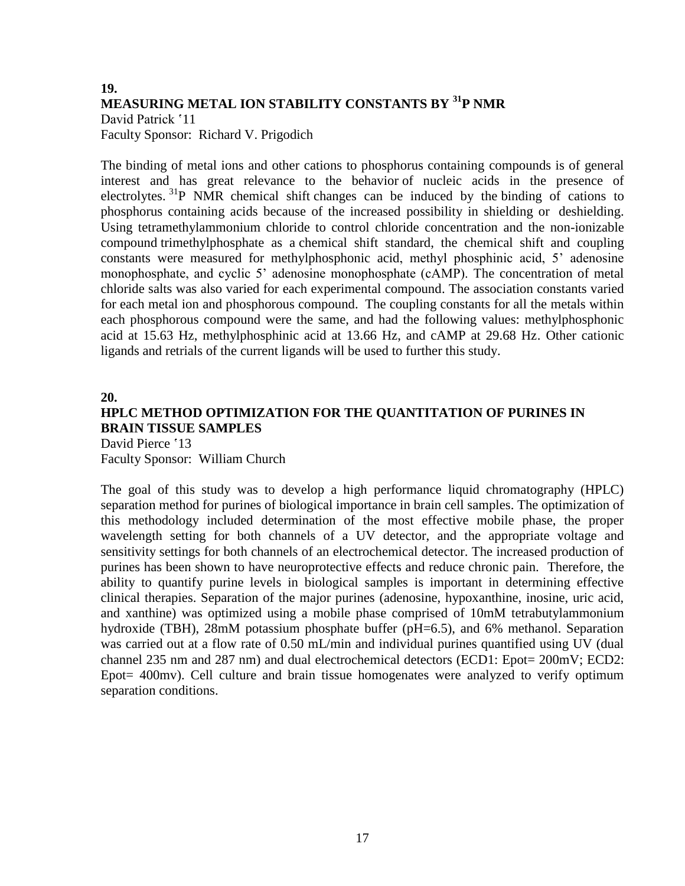### **19. MEASURING METAL ION STABILITY CONSTANTS BY <sup>31</sup>P NMR** David Patrick '11 Faculty Sponsor: Richard V. Prigodich

The binding of metal ions and other cations to phosphorus containing compounds is of general interest and has great relevance to the behavior of nucleic acids in the presence of electrolytes.  $^{31}P$  NMR chemical shift changes can be induced by the binding of cations to phosphorus containing acids because of the increased possibility in shielding or deshielding. Using tetramethylammonium chloride to control chloride concentration and the non-ionizable compound trimethylphosphate as a chemical shift standard, the chemical shift and coupling constants were measured for methylphosphonic acid, methyl phosphinic acid, 5' adenosine monophosphate, and cyclic 5' adenosine monophosphate (cAMP). The concentration of metal chloride salts was also varied for each experimental compound. The association constants varied for each metal ion and phosphorous compound. The coupling constants for all the metals within each phosphorous compound were the same, and had the following values: methylphosphonic acid at 15.63 Hz, methylphosphinic acid at 13.66 Hz, and cAMP at 29.68 Hz. Other cationic ligands and retrials of the current ligands will be used to further this study.

### **20. HPLC METHOD OPTIMIZATION FOR THE QUANTITATION OF PURINES IN BRAIN TISSUE SAMPLES**  David Pierce '13

Faculty Sponsor: William Church

The goal of this study was to develop a high performance liquid chromatography (HPLC) separation method for purines of biological importance in brain cell samples. The optimization of this methodology included determination of the most effective mobile phase, the proper wavelength setting for both channels of a UV detector, and the appropriate voltage and sensitivity settings for both channels of an electrochemical detector. The increased production of purines has been shown to have neuroprotective effects and reduce chronic pain. Therefore, the ability to quantify purine levels in biological samples is important in determining effective clinical therapies. Separation of the major purines (adenosine, hypoxanthine, inosine, uric acid, and xanthine) was optimized using a mobile phase comprised of 10mM tetrabutylammonium hydroxide (TBH), 28mM potassium phosphate buffer (pH=6.5), and 6% methanol. Separation was carried out at a flow rate of 0.50 mL/min and individual purines quantified using UV (dual channel 235 nm and 287 nm) and dual electrochemical detectors (ECD1: Epot= 200mV; ECD2: Epot= 400mv). Cell culture and brain tissue homogenates were analyzed to verify optimum separation conditions.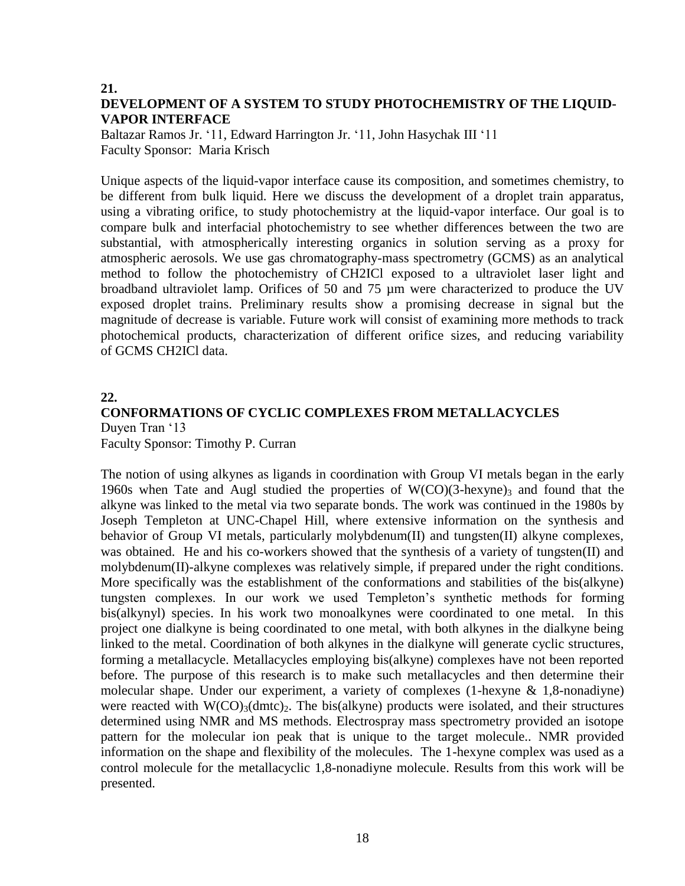### **21. DEVELOPMENT OF A SYSTEM TO STUDY PHOTOCHEMISTRY OF THE LIQUID-VAPOR INTERFACE**

Baltazar Ramos Jr. '11, Edward Harrington Jr. '11, John Hasychak III '11 Faculty Sponsor: Maria Krisch

Unique aspects of the liquid-vapor interface cause its composition, and sometimes chemistry, to be different from bulk liquid. Here we discuss the development of a droplet train apparatus, using a vibrating orifice, to study photochemistry at the liquid-vapor interface. Our goal is to compare bulk and interfacial photochemistry to see whether differences between the two are substantial, with atmospherically interesting organics in solution serving as a proxy for atmospheric aerosols. We use gas chromatography-mass spectrometry (GCMS) as an analytical method to follow the photochemistry of CH2ICl exposed to a ultraviolet laser light and broadband ultraviolet lamp. Orifices of 50 and 75 µm were characterized to produce the UV exposed droplet trains. Preliminary results show a promising decrease in signal but the magnitude of decrease is variable. Future work will consist of examining more methods to track photochemical products, characterization of different orifice sizes, and reducing variability of GCMS CH2ICl data.

### **22. CONFORMATIONS OF CYCLIC COMPLEXES FROM METALLACYCLES** Duyen Tran '13 Faculty Sponsor: Timothy P. Curran

The notion of using alkynes as ligands in coordination with Group VI metals began in the early 1960s when Tate and Augl studied the properties of  $W(CO)(3-hexyne)$  and found that the alkyne was linked to the metal via two separate bonds. The work was continued in the 1980s by Joseph Templeton at UNC-Chapel Hill, where extensive information on the synthesis and behavior of Group VI metals, particularly molybdenum(II) and tungsten(II) alkyne complexes, was obtained. He and his co-workers showed that the synthesis of a variety of tungsten(II) and molybdenum(II)-alkyne complexes was relatively simple, if prepared under the right conditions. More specifically was the establishment of the conformations and stabilities of the bis(alkyne) tungsten complexes. In our work we used Templeton's synthetic methods for forming bis(alkynyl) species. In his work two monoalkynes were coordinated to one metal. In this project one dialkyne is being coordinated to one metal, with both alkynes in the dialkyne being linked to the metal. Coordination of both alkynes in the dialkyne will generate cyclic structures, forming a metallacycle. Metallacycles employing bis(alkyne) complexes have not been reported before. The purpose of this research is to make such metallacycles and then determine their molecular shape. Under our experiment, a variety of complexes (1-hexyne & 1,8-nonadiyne) were reacted with  $W(CO)_{3}(dmtc)_{2}$ . The bis(alkyne) products were isolated, and their structures determined using NMR and MS methods. Electrospray mass spectrometry provided an isotope pattern for the molecular ion peak that is unique to the target molecule.. NMR provided information on the shape and flexibility of the molecules. The 1-hexyne complex was used as a control molecule for the metallacyclic 1,8-nonadiyne molecule. Results from this work will be presented.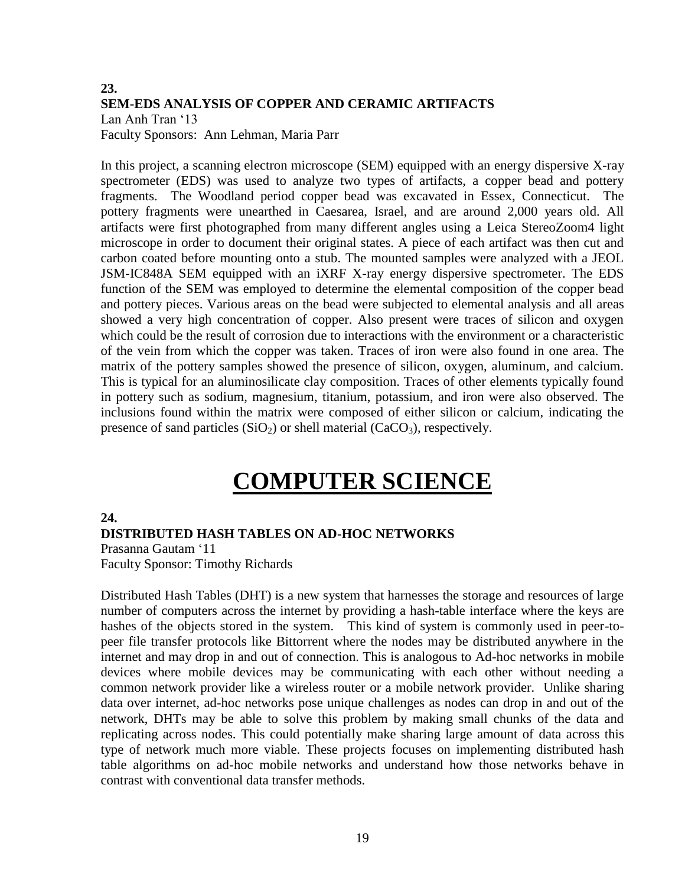### **23. SEM-EDS ANALYSIS OF COPPER AND CERAMIC ARTIFACTS** Lan Anh Tran '13

Faculty Sponsors: Ann Lehman, Maria Parr

In this project, a scanning electron microscope (SEM) equipped with an energy dispersive X-ray spectrometer (EDS) was used to analyze two types of artifacts, a copper bead and pottery fragments. The Woodland period copper bead was excavated in Essex, Connecticut. The pottery fragments were unearthed in Caesarea, Israel, and are around 2,000 years old. All artifacts were first photographed from many different angles using a Leica StereoZoom4 light microscope in order to document their original states. A piece of each artifact was then cut and carbon coated before mounting onto a stub. The mounted samples were analyzed with a JEOL JSM-IC848A SEM equipped with an iXRF X-ray energy dispersive spectrometer. The EDS function of the SEM was employed to determine the elemental composition of the copper bead and pottery pieces. Various areas on the bead were subjected to elemental analysis and all areas showed a very high concentration of copper. Also present were traces of silicon and oxygen which could be the result of corrosion due to interactions with the environment or a characteristic of the vein from which the copper was taken. Traces of iron were also found in one area. The matrix of the pottery samples showed the presence of silicon, oxygen, aluminum, and calcium. This is typical for an aluminosilicate clay composition. Traces of other elements typically found in pottery such as sodium, magnesium, titanium, potassium, and iron were also observed. The inclusions found within the matrix were composed of either silicon or calcium, indicating the presence of sand particles  $(SiO<sub>2</sub>)$  or shell material  $(CaCO<sub>3</sub>)$ , respectively.

# **COMPUTER SCIENCE**

### **24.**

#### **DISTRIBUTED HASH TABLES ON AD-HOC NETWORKS**

Prasanna Gautam '11 Faculty Sponsor: Timothy Richards

Distributed Hash Tables (DHT) is a new system that harnesses the storage and resources of large number of computers across the internet by providing a hash-table interface where the keys are hashes of the objects stored in the system. This kind of system is commonly used in peer-topeer file transfer protocols like Bittorrent where the nodes may be distributed anywhere in the internet and may drop in and out of connection. This is analogous to Ad-hoc networks in mobile devices where mobile devices may be communicating with each other without needing a common network provider like a wireless router or a mobile network provider. Unlike sharing data over internet, ad-hoc networks pose unique challenges as nodes can drop in and out of the network, DHTs may be able to solve this problem by making small chunks of the data and replicating across nodes. This could potentially make sharing large amount of data across this type of network much more viable. These projects focuses on implementing distributed hash table algorithms on ad-hoc mobile networks and understand how those networks behave in contrast with conventional data transfer methods.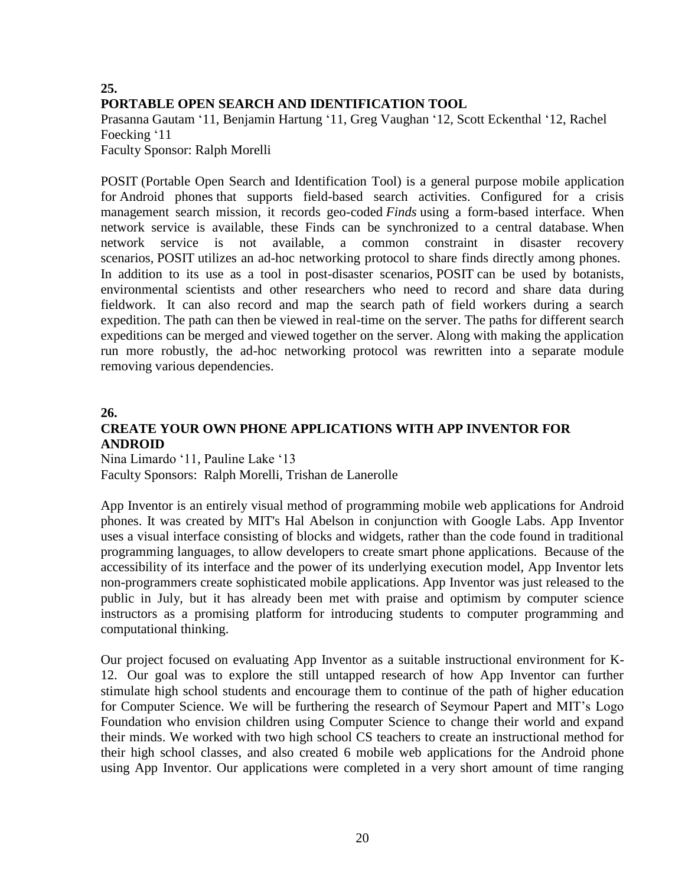# **25. PORTABLE OPEN SEARCH AND IDENTIFICATION TOOL**

Prasanna Gautam '11, Benjamin Hartung '11, Greg Vaughan '12, Scott Eckenthal '12, Rachel Foecking '11

Faculty Sponsor: Ralph Morelli

POSIT (Portable Open Search and Identification Tool) is a general purpose mobile application for Android phones that supports field-based search activities. Configured for a crisis management search mission, it records geo-coded *Finds* using a form-based interface. When network service is available, these Finds can be synchronized to a central database. When network service is not available, a common constraint in disaster recovery scenarios, POSIT utilizes an ad-hoc networking protocol to share finds directly among phones. In addition to its use as a tool in post-disaster scenarios, POSIT can be used by botanists, environmental scientists and other researchers who need to record and share data during fieldwork. It can also record and map the search path of field workers during a search expedition. The path can then be viewed in real-time on the server. The paths for different search expeditions can be merged and viewed together on the server. Along with making the application run more robustly, the ad-hoc networking protocol was rewritten into a separate module removing various dependencies.

### **26.**

# **CREATE YOUR OWN PHONE APPLICATIONS WITH APP INVENTOR FOR ANDROID**

Nina Limardo '11, Pauline Lake '13 Faculty Sponsors: Ralph Morelli, Trishan de Lanerolle

App Inventor is an entirely visual method of programming mobile web applications for Android phones. It was created by MIT's Hal Abelson in conjunction with Google Labs. App Inventor uses a visual interface consisting of blocks and widgets, rather than the code found in traditional programming languages, to allow developers to create smart phone applications. Because of the accessibility of its interface and the power of its underlying execution model, App Inventor lets non-programmers create sophisticated mobile applications. App Inventor was just released to the public in July, but it has already been met with praise and optimism by computer science instructors as a promising platform for introducing students to computer programming and computational thinking.

Our project focused on evaluating App Inventor as a suitable instructional environment for K-12. Our goal was to explore the still untapped research of how App Inventor can further stimulate high school students and encourage them to continue of the path of higher education for Computer Science. We will be furthering the research of Seymour Papert and MIT's Logo Foundation who envision children using Computer Science to change their world and expand their minds. We worked with two high school CS teachers to create an instructional method for their high school classes, and also created 6 mobile web applications for the Android phone using App Inventor. Our applications were completed in a very short amount of time ranging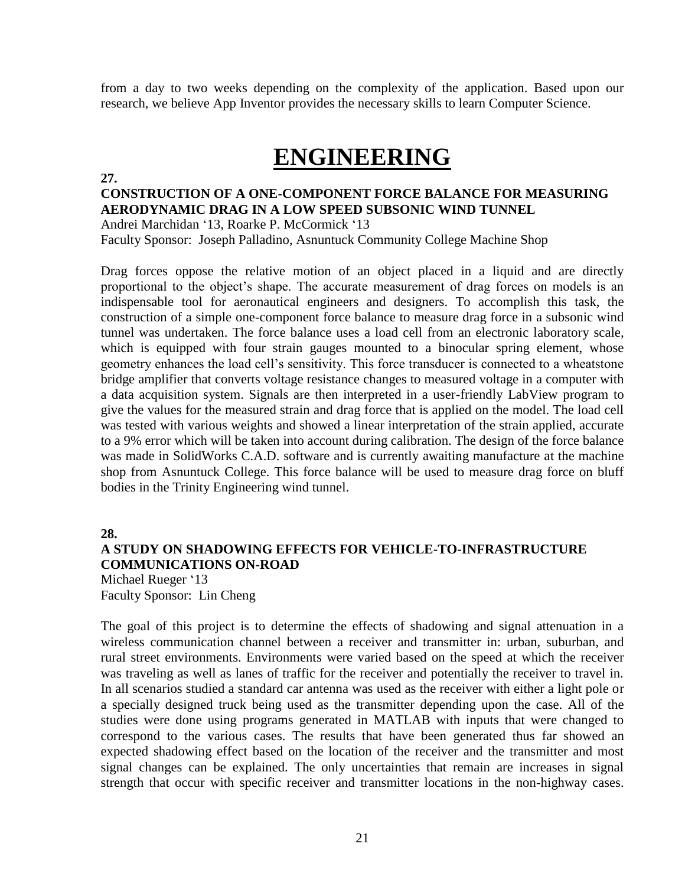from a day to two weeks depending on the complexity of the application. Based upon our research, we believe App Inventor provides the necessary skills to learn Computer Science.

# **ENGINEERING**

**27.**

## **CONSTRUCTION OF A ONE-COMPONENT FORCE BALANCE FOR MEASURING AERODYNAMIC DRAG IN A LOW SPEED SUBSONIC WIND TUNNEL**

Andrei Marchidan '13, Roarke P. McCormick '13 Faculty Sponsor: Joseph Palladino, Asnuntuck Community College Machine Shop

Drag forces oppose the relative motion of an object placed in a liquid and are directly proportional to the object's shape. The accurate measurement of drag forces on models is an indispensable tool for aeronautical engineers and designers. To accomplish this task, the construction of a simple one-component force balance to measure drag force in a subsonic wind tunnel was undertaken. The force balance uses a load cell from an electronic laboratory scale, which is equipped with four strain gauges mounted to a binocular spring element, whose geometry enhances the load cell's sensitivity. This force transducer is connected to a wheatstone bridge amplifier that converts voltage resistance changes to measured voltage in a computer with a data acquisition system. Signals are then interpreted in a user-friendly LabView program to give the values for the measured strain and drag force that is applied on the model. The load cell was tested with various weights and showed a linear interpretation of the strain applied, accurate to a 9% error which will be taken into account during calibration. The design of the force balance was made in SolidWorks C.A.D. software and is currently awaiting manufacture at the machine shop from Asnuntuck College. This force balance will be used to measure drag force on bluff bodies in the Trinity Engineering wind tunnel.

#### **28.**

### **A STUDY ON SHADOWING EFFECTS FOR VEHICLE-TO-INFRASTRUCTURE COMMUNICATIONS ON-ROAD**

Michael Rueger '13 Faculty Sponsor: Lin Cheng

The goal of this project is to determine the effects of shadowing and signal attenuation in a wireless communication channel between a receiver and transmitter in: urban, suburban, and rural street environments. Environments were varied based on the speed at which the receiver was traveling as well as lanes of traffic for the receiver and potentially the receiver to travel in. In all scenarios studied a standard car antenna was used as the receiver with either a light pole or a specially designed truck being used as the transmitter depending upon the case. All of the studies were done using programs generated in MATLAB with inputs that were changed to correspond to the various cases. The results that have been generated thus far showed an expected shadowing effect based on the location of the receiver and the transmitter and most signal changes can be explained. The only uncertainties that remain are increases in signal strength that occur with specific receiver and transmitter locations in the non-highway cases.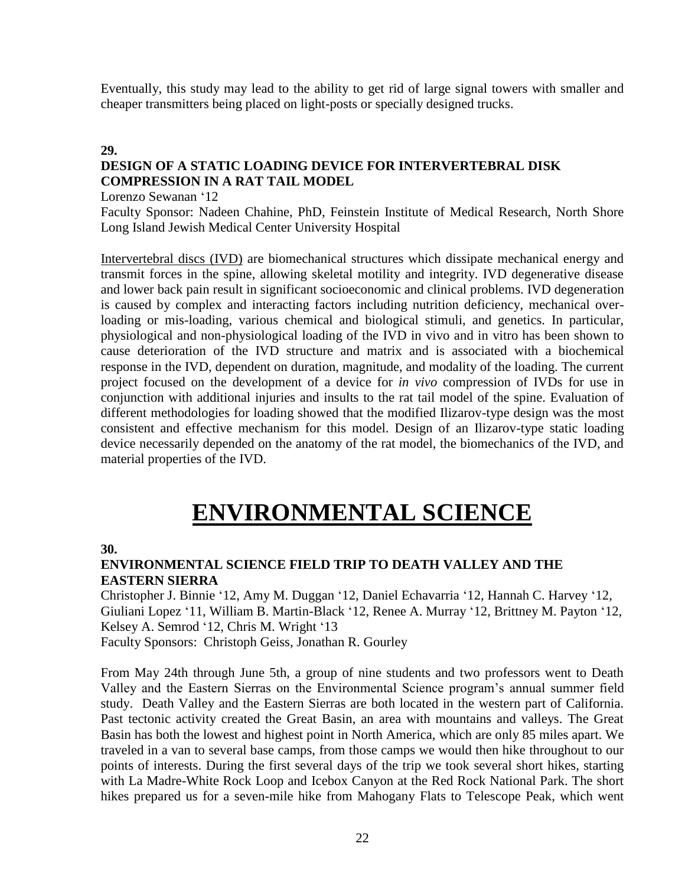Eventually, this study may lead to the ability to get rid of large signal towers with smaller and cheaper transmitters being placed on light-posts or specially designed trucks.

### **29.**

# **DESIGN OF A STATIC LOADING DEVICE FOR INTERVERTEBRAL DISK COMPRESSION IN A RAT TAIL MODEL**

Lorenzo Sewanan '12

Faculty Sponsor: Nadeen Chahine, PhD, Feinstein Institute of Medical Research, North Shore Long Island Jewish Medical Center University Hospital

Intervertebral discs (IVD) are biomechanical structures which dissipate mechanical energy and transmit forces in the spine, allowing skeletal motility and integrity. IVD degenerative disease and lower back pain result in significant socioeconomic and clinical problems. IVD degeneration is caused by complex and interacting factors including nutrition deficiency, mechanical overloading or mis-loading, various chemical and biological stimuli, and genetics. In particular, physiological and non-physiological loading of the IVD in vivo and in vitro has been shown to cause deterioration of the IVD structure and matrix and is associated with a biochemical response in the IVD, dependent on duration, magnitude, and modality of the loading. The current project focused on the development of a device for *in vivo* compression of IVDs for use in conjunction with additional injuries and insults to the rat tail model of the spine. Evaluation of different methodologies for loading showed that the modified Ilizarov-type design was the most consistent and effective mechanism for this model. Design of an Ilizarov-type static loading device necessarily depended on the anatomy of the rat model, the biomechanics of the IVD, and material properties of the IVD.

# **ENVIRONMENTAL SCIENCE**

#### **30.**

### **ENVIRONMENTAL SCIENCE FIELD TRIP TO DEATH VALLEY AND THE EASTERN SIERRA**

Christopher J. Binnie '12, Amy M. Duggan '12, Daniel Echavarria '12, Hannah C. Harvey '12, Giuliani Lopez '11, William B. Martin-Black '12, Renee A. Murray '12, Brittney M. Payton '12, Kelsey A. Semrod '12, Chris M. Wright '13

Faculty Sponsors: Christoph Geiss, Jonathan R. Gourley

From May 24th through June 5th, a group of nine students and two professors went to Death Valley and the Eastern Sierras on the Environmental Science program's annual summer field study. Death Valley and the Eastern Sierras are both located in the western part of California. Past tectonic activity created the Great Basin, an area with mountains and valleys. The Great Basin has both the lowest and highest point in North America, which are only 85 miles apart. We traveled in a van to several base camps, from those camps we would then hike throughout to our points of interests. During the first several days of the trip we took several short hikes, starting with La Madre-White Rock Loop and Icebox Canyon at the Red Rock National Park. The short hikes prepared us for a seven-mile hike from Mahogany Flats to Telescope Peak, which went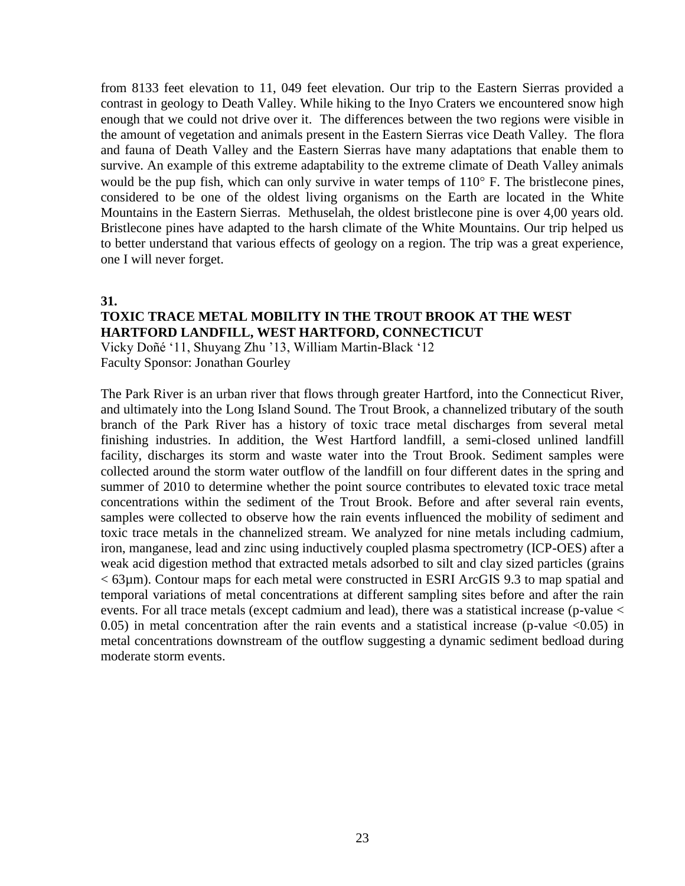from 8133 feet elevation to 11, 049 feet elevation. Our trip to the Eastern Sierras provided a contrast in geology to Death Valley. While hiking to the Inyo Craters we encountered snow high enough that we could not drive over it. The differences between the two regions were visible in the amount of vegetation and animals present in the Eastern Sierras vice Death Valley. The flora and fauna of Death Valley and the Eastern Sierras have many adaptations that enable them to survive. An example of this extreme adaptability to the extreme climate of Death Valley animals would be the pup fish, which can only survive in water temps of  $110^{\circ}$  F. The bristlecone pines, considered to be one of the oldest living organisms on the Earth are located in the White Mountains in the Eastern Sierras. Methuselah, the oldest bristlecone pine is over 4,00 years old. Bristlecone pines have adapted to the harsh climate of the White Mountains. Our trip helped us to better understand that various effects of geology on a region. The trip was a great experience, one I will never forget.

#### **31.**

# **TOXIC TRACE METAL MOBILITY IN THE TROUT BROOK AT THE WEST HARTFORD LANDFILL, WEST HARTFORD, CONNECTICUT**

Vicky Doñé '11, Shuyang Zhu '13, William Martin-Black '12 Faculty Sponsor: Jonathan Gourley

The Park River is an urban river that flows through greater Hartford, into the Connecticut River, and ultimately into the Long Island Sound. The Trout Brook, a channelized tributary of the south branch of the Park River has a history of toxic trace metal discharges from several metal finishing industries. In addition, the West Hartford landfill, a semi-closed unlined landfill facility, discharges its storm and waste water into the Trout Brook. Sediment samples were collected around the storm water outflow of the landfill on four different dates in the spring and summer of 2010 to determine whether the point source contributes to elevated toxic trace metal concentrations within the sediment of the Trout Brook. Before and after several rain events, samples were collected to observe how the rain events influenced the mobility of sediment and toxic trace metals in the channelized stream. We analyzed for nine metals including cadmium, iron, manganese, lead and zinc using inductively coupled plasma spectrometry (ICP-OES) after a weak acid digestion method that extracted metals adsorbed to silt and clay sized particles (grains < 63µm). Contour maps for each metal were constructed in ESRI ArcGIS 9.3 to map spatial and temporal variations of metal concentrations at different sampling sites before and after the rain events. For all trace metals (except cadmium and lead), there was a statistical increase (p-value < 0.05) in metal concentration after the rain events and a statistical increase (p-value  $\langle 0.05 \rangle$  in metal concentrations downstream of the outflow suggesting a dynamic sediment bedload during moderate storm events.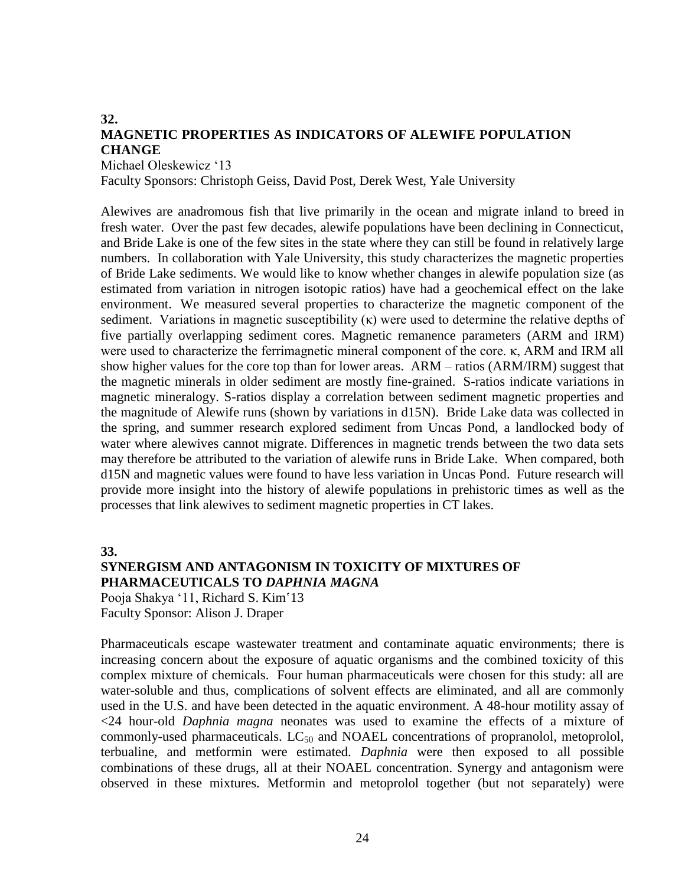#### **32. MAGNETIC PROPERTIES AS INDICATORS OF ALEWIFE POPULATION CHANGE** Michael Oleskewicz '13

Faculty Sponsors: Christoph Geiss, David Post, Derek West, Yale University

Alewives are anadromous fish that live primarily in the ocean and migrate inland to breed in fresh water. Over the past few decades, alewife populations have been declining in Connecticut, and Bride Lake is one of the few sites in the state where they can still be found in relatively large numbers. In collaboration with Yale University, this study characterizes the magnetic properties of Bride Lake sediments. We would like to know whether changes in alewife population size (as estimated from variation in nitrogen isotopic ratios) have had a geochemical effect on the lake environment. We measured several properties to characterize the magnetic component of the sediment. Variations in magnetic susceptibility  $(\kappa)$  were used to determine the relative depths of five partially overlapping sediment cores. Magnetic remanence parameters (ARM and IRM) were used to characterize the ferrimagnetic mineral component of the core. κ, ARM and IRM all show higher values for the core top than for lower areas. ARM – ratios (ARM/IRM) suggest that the magnetic minerals in older sediment are mostly fine-grained. S-ratios indicate variations in magnetic mineralogy. S-ratios display a correlation between sediment magnetic properties and the magnitude of Alewife runs (shown by variations in d15N). Bride Lake data was collected in the spring, and summer research explored sediment from Uncas Pond, a landlocked body of water where alewives cannot migrate. Differences in magnetic trends between the two data sets may therefore be attributed to the variation of alewife runs in Bride Lake. When compared, both d15N and magnetic values were found to have less variation in Uncas Pond. Future research will provide more insight into the history of alewife populations in prehistoric times as well as the processes that link alewives to sediment magnetic properties in CT lakes.

**33.**

### **SYNERGISM AND ANTAGONISM IN TOXICITY OF MIXTURES OF PHARMACEUTICALS TO** *DAPHNIA MAGNA*

Pooja Shakya '11, Richard S. Kim'13 Faculty Sponsor: Alison J. Draper

Pharmaceuticals escape wastewater treatment and contaminate aquatic environments; there is increasing concern about the exposure of aquatic organisms and the combined toxicity of this complex mixture of chemicals. Four human pharmaceuticals were chosen for this study: all are water-soluble and thus, complications of solvent effects are eliminated, and all are commonly used in the U.S. and have been detected in the aquatic environment. A 48-hour motility assay of <24 hour-old *Daphnia magna* neonates was used to examine the effects of a mixture of commonly-used pharmaceuticals.  $LC_{50}$  and NOAEL concentrations of propranolol, metoprolol, terbualine, and metformin were estimated. *Daphnia* were then exposed to all possible combinations of these drugs, all at their NOAEL concentration. Synergy and antagonism were observed in these mixtures. Metformin and metoprolol together (but not separately) were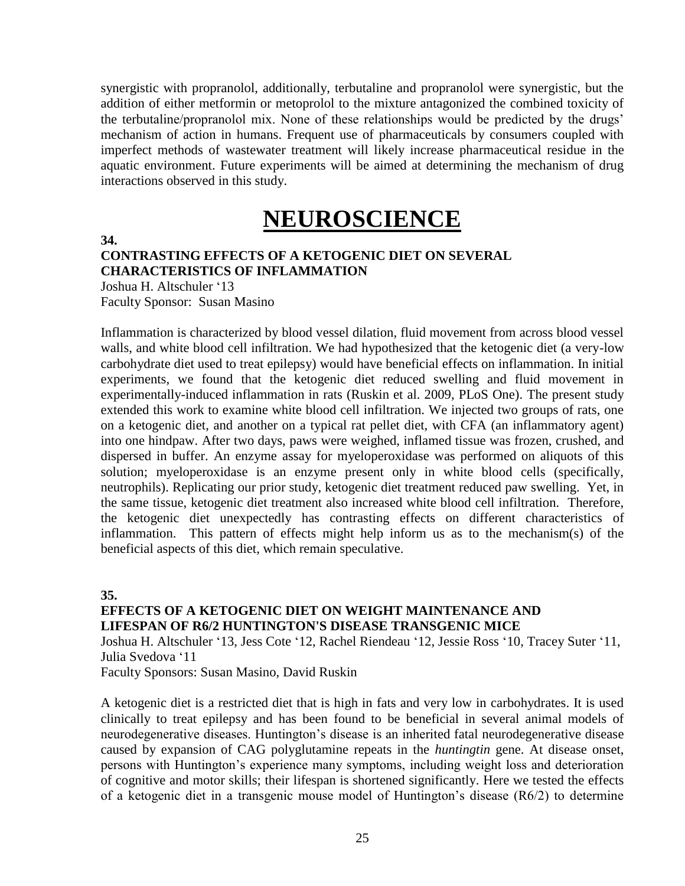synergistic with propranolol, additionally, terbutaline and propranolol were synergistic, but the addition of either metformin or metoprolol to the mixture antagonized the combined toxicity of the terbutaline/propranolol mix. None of these relationships would be predicted by the drugs' mechanism of action in humans. Frequent use of pharmaceuticals by consumers coupled with imperfect methods of wastewater treatment will likely increase pharmaceutical residue in the aquatic environment. Future experiments will be aimed at determining the mechanism of drug interactions observed in this study.

# **NEUROSCIENCE**

**34.**

### **CONTRASTING EFFECTS OF A KETOGENIC DIET ON SEVERAL CHARACTERISTICS OF INFLAMMATION**

Joshua H. Altschuler '13 Faculty Sponsor: Susan Masino

Inflammation is characterized by blood vessel dilation, fluid movement from across blood vessel walls, and white blood cell infiltration. We had hypothesized that the ketogenic diet (a very-low carbohydrate diet used to treat epilepsy) would have beneficial effects on inflammation. In initial experiments, we found that the ketogenic diet reduced swelling and fluid movement in experimentally-induced inflammation in rats (Ruskin et al. 2009, PLoS One). The present study extended this work to examine white blood cell infiltration. We injected two groups of rats, one on a ketogenic diet, and another on a typical rat pellet diet, with CFA (an inflammatory agent) into one hindpaw. After two days, paws were weighed, inflamed tissue was frozen, crushed, and dispersed in buffer. An enzyme assay for myeloperoxidase was performed on aliquots of this solution; myeloperoxidase is an enzyme present only in white blood cells (specifically, neutrophils). Replicating our prior study, ketogenic diet treatment reduced paw swelling. Yet, in the same tissue, ketogenic diet treatment also increased white blood cell infiltration. Therefore, the ketogenic diet unexpectedly has contrasting effects on different characteristics of inflammation. This pattern of effects might help inform us as to the mechanism(s) of the beneficial aspects of this diet, which remain speculative.

**35.**

### **EFFECTS OF A KETOGENIC DIET ON WEIGHT MAINTENANCE AND LIFESPAN OF R6/2 HUNTINGTON'S DISEASE TRANSGENIC MICE**

Joshua H. Altschuler '13, Jess Cote '12, Rachel Riendeau '12, Jessie Ross '10, Tracey Suter '11, Julia Svedova '11

Faculty Sponsors: Susan Masino, David Ruskin

A ketogenic diet is a restricted diet that is high in fats and very low in carbohydrates. It is used clinically to treat epilepsy and has been found to be beneficial in several animal models of neurodegenerative diseases. Huntington's disease is an inherited fatal neurodegenerative disease caused by expansion of CAG polyglutamine repeats in the *huntingtin* gene. At disease onset, persons with Huntington's experience many symptoms, including weight loss and deterioration of cognitive and motor skills; their lifespan is shortened significantly. Here we tested the effects of a ketogenic diet in a transgenic mouse model of Huntington's disease (R6/2) to determine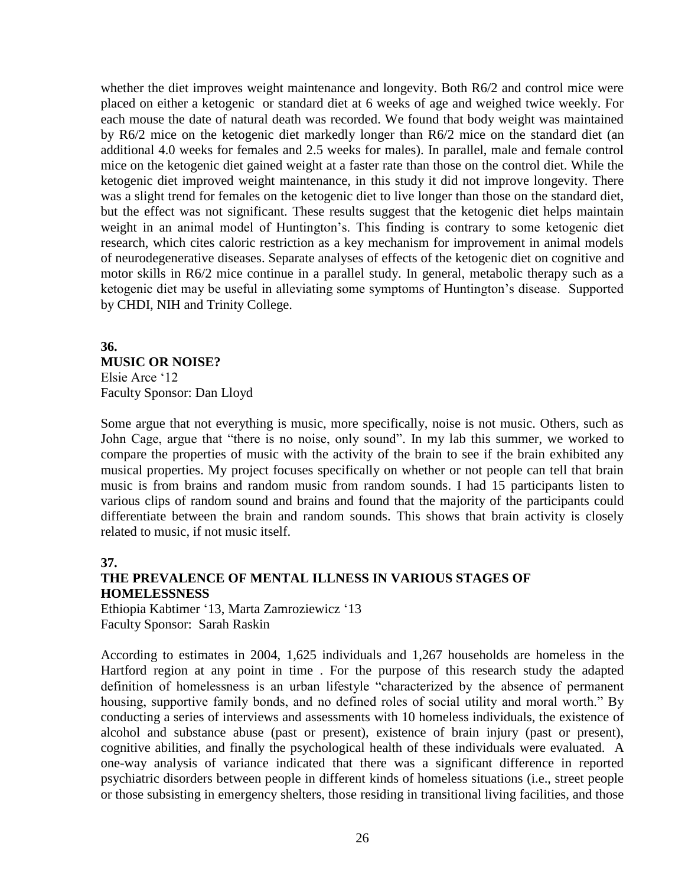whether the diet improves weight maintenance and longevity. Both R6/2 and control mice were placed on either a ketogenic or standard diet at 6 weeks of age and weighed twice weekly. For each mouse the date of natural death was recorded. We found that body weight was maintained by R6/2 mice on the ketogenic diet markedly longer than R6/2 mice on the standard diet (an additional 4.0 weeks for females and 2.5 weeks for males). In parallel, male and female control mice on the ketogenic diet gained weight at a faster rate than those on the control diet. While the ketogenic diet improved weight maintenance, in this study it did not improve longevity. There was a slight trend for females on the ketogenic diet to live longer than those on the standard diet, but the effect was not significant. These results suggest that the ketogenic diet helps maintain weight in an animal model of Huntington's. This finding is contrary to some ketogenic diet research, which cites caloric restriction as a key mechanism for improvement in animal models of neurodegenerative diseases. Separate analyses of effects of the ketogenic diet on cognitive and motor skills in R6/2 mice continue in a parallel study. In general, metabolic therapy such as a ketogenic diet may be useful in alleviating some symptoms of Huntington's disease. Supported by CHDI, NIH and Trinity College.

#### **36. MUSIC OR NOISE?** Elsie Arce '12

Faculty Sponsor: Dan Lloyd

Some argue that not everything is music, more specifically, noise is not music. Others, such as John Cage, argue that "there is no noise, only sound". In my lab this summer, we worked to compare the properties of music with the activity of the brain to see if the brain exhibited any musical properties. My project focuses specifically on whether or not people can tell that brain music is from brains and random music from random sounds. I had 15 participants listen to various clips of random sound and brains and found that the majority of the participants could differentiate between the brain and random sounds. This shows that brain activity is closely related to music, if not music itself.

#### **37.**

# **THE PREVALENCE OF MENTAL ILLNESS IN VARIOUS STAGES OF HOMELESSNESS**

Ethiopia Kabtimer '13, Marta Zamroziewicz '13 Faculty Sponsor: Sarah Raskin

According to estimates in 2004, 1,625 individuals and 1,267 households are homeless in the Hartford region at any point in time . For the purpose of this research study the adapted definition of homelessness is an urban lifestyle "characterized by the absence of permanent housing, supportive family bonds, and no defined roles of social utility and moral worth." By conducting a series of interviews and assessments with 10 homeless individuals, the existence of alcohol and substance abuse (past or present), existence of brain injury (past or present), cognitive abilities, and finally the psychological health of these individuals were evaluated. A one-way analysis of variance indicated that there was a significant difference in reported psychiatric disorders between people in different kinds of homeless situations (i.e., street people or those subsisting in emergency shelters, those residing in transitional living facilities, and those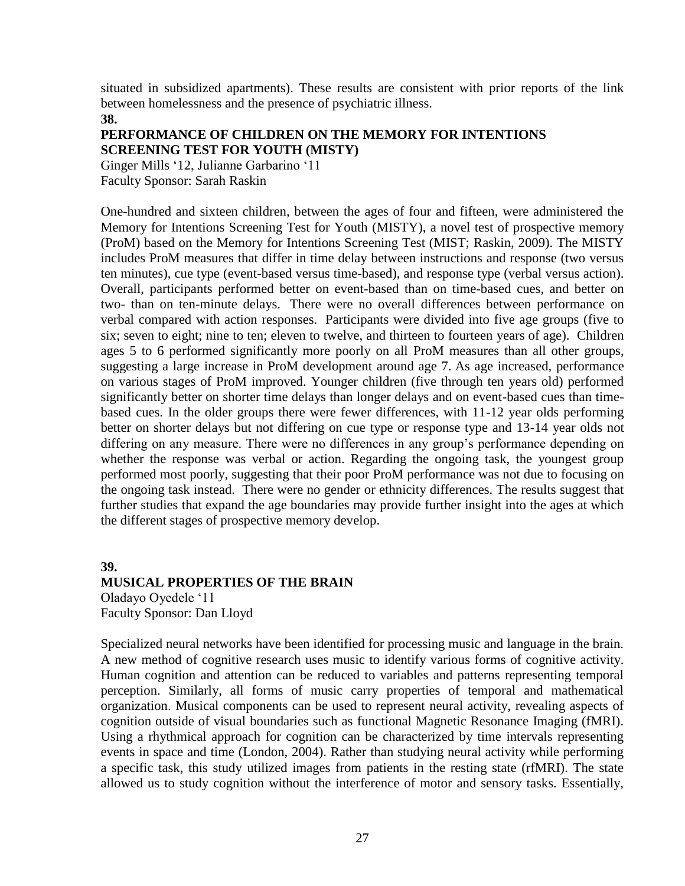situated in subsidized apartments). These results are consistent with prior reports of the link between homelessness and the presence of psychiatric illness.

**38.**

### **PERFORMANCE OF CHILDREN ON THE MEMORY FOR INTENTIONS SCREENING TEST FOR YOUTH (MISTY)**

Ginger Mills '12, Julianne Garbarino '11 Faculty Sponsor: Sarah Raskin

One-hundred and sixteen children, between the ages of four and fifteen, were administered the Memory for Intentions Screening Test for Youth (MISTY), a novel test of prospective memory (ProM) based on the Memory for Intentions Screening Test (MIST; Raskin, 2009). The MISTY includes ProM measures that differ in time delay between instructions and response (two versus ten minutes), cue type (event-based versus time-based), and response type (verbal versus action). Overall, participants performed better on event-based than on time-based cues, and better on two- than on ten-minute delays. There were no overall differences between performance on verbal compared with action responses. Participants were divided into five age groups (five to six; seven to eight; nine to ten; eleven to twelve, and thirteen to fourteen years of age). Children ages 5 to 6 performed significantly more poorly on all ProM measures than all other groups, suggesting a large increase in ProM development around age 7. As age increased, performance on various stages of ProM improved. Younger children (five through ten years old) performed significantly better on shorter time delays than longer delays and on event-based cues than timebased cues. In the older groups there were fewer differences, with 11-12 year olds performing better on shorter delays but not differing on cue type or response type and 13-14 year olds not differing on any measure. There were no differences in any group's performance depending on whether the response was verbal or action. Regarding the ongoing task, the youngest group performed most poorly, suggesting that their poor ProM performance was not due to focusing on the ongoing task instead. There were no gender or ethnicity differences. The results suggest that further studies that expand the age boundaries may provide further insight into the ages at which the different stages of prospective memory develop.

### **39. MUSICAL PROPERTIES OF THE BRAIN** Oladayo Oyedele '11 Faculty Sponsor: Dan Lloyd

Specialized neural networks have been identified for processing music and language in the brain. A new method of cognitive research uses music to identify various forms of cognitive activity. Human cognition and attention can be reduced to variables and patterns representing temporal perception. Similarly, all forms of music carry properties of temporal and mathematical organization. Musical components can be used to represent neural activity, revealing aspects of cognition outside of visual boundaries such as functional Magnetic Resonance Imaging (fMRI). Using a rhythmical approach for cognition can be characterized by time intervals representing events in space and time (London, 2004). Rather than studying neural activity while performing a specific task, this study utilized images from patients in the resting state (rfMRI). The state allowed us to study cognition without the interference of motor and sensory tasks. Essentially,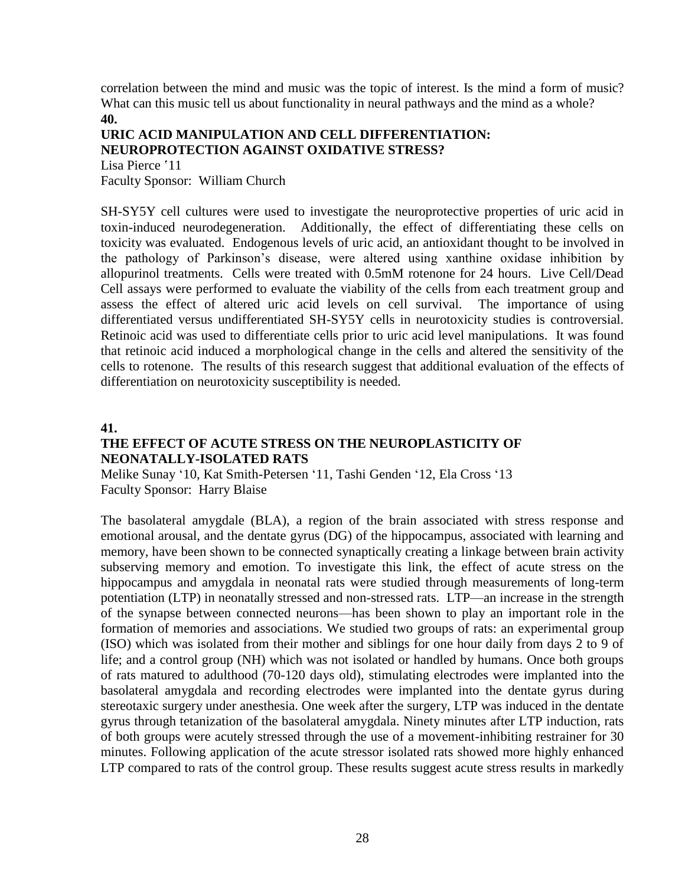correlation between the mind and music was the topic of interest. Is the mind a form of music? What can this music tell us about functionality in neural pathways and the mind as a whole? **40.**

# **URIC ACID MANIPULATION AND CELL DIFFERENTIATION: NEUROPROTECTION AGAINST OXIDATIVE STRESS?**

Lisa Pierce '11 Faculty Sponsor: William Church

SH-SY5Y cell cultures were used to investigate the neuroprotective properties of uric acid in toxin-induced neurodegeneration. Additionally, the effect of differentiating these cells on toxicity was evaluated. Endogenous levels of uric acid, an antioxidant thought to be involved in the pathology of Parkinson's disease, were altered using xanthine oxidase inhibition by allopurinol treatments. Cells were treated with 0.5mM rotenone for 24 hours. Live Cell/Dead Cell assays were performed to evaluate the viability of the cells from each treatment group and assess the effect of altered uric acid levels on cell survival. The importance of using differentiated versus undifferentiated SH-SY5Y cells in neurotoxicity studies is controversial. Retinoic acid was used to differentiate cells prior to uric acid level manipulations. It was found that retinoic acid induced a morphological change in the cells and altered the sensitivity of the cells to rotenone. The results of this research suggest that additional evaluation of the effects of differentiation on neurotoxicity susceptibility is needed.

**41.**

### **THE EFFECT OF ACUTE STRESS ON THE NEUROPLASTICITY OF NEONATALLY-ISOLATED RATS**

Melike Sunay '10, Kat Smith-Petersen '11, Tashi Genden '12, Ela Cross '13 Faculty Sponsor: Harry Blaise

The basolateral amygdale (BLA), a region of the brain associated with stress response and emotional arousal, and the dentate gyrus (DG) of the hippocampus, associated with learning and memory, have been shown to be connected synaptically creating a linkage between brain activity subserving memory and emotion. To investigate this link, the effect of acute stress on the hippocampus and amygdala in neonatal rats were studied through measurements of long-term potentiation (LTP) in neonatally stressed and non-stressed rats. LTP—an increase in the strength of the synapse between connected neurons—has been shown to play an important role in the formation of memories and associations. We studied two groups of rats: an experimental group (ISO) which was isolated from their mother and siblings for one hour daily from days 2 to 9 of life; and a control group (NH) which was not isolated or handled by humans. Once both groups of rats matured to adulthood (70-120 days old), stimulating electrodes were implanted into the basolateral amygdala and recording electrodes were implanted into the dentate gyrus during stereotaxic surgery under anesthesia. One week after the surgery, LTP was induced in the dentate gyrus through tetanization of the basolateral amygdala. Ninety minutes after LTP induction, rats of both groups were acutely stressed through the use of a movement-inhibiting restrainer for 30 minutes. Following application of the acute stressor isolated rats showed more highly enhanced LTP compared to rats of the control group. These results suggest acute stress results in markedly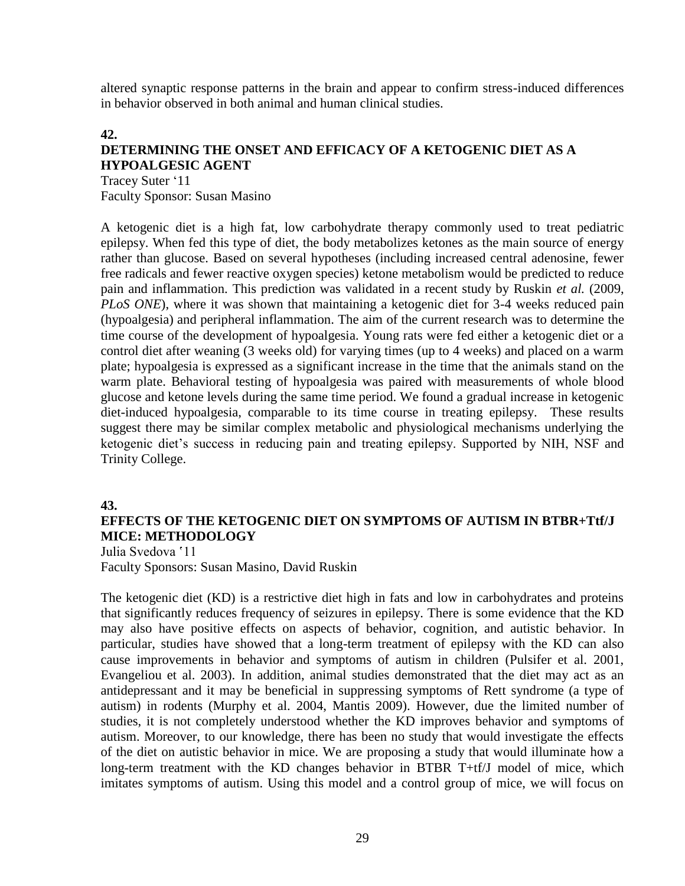altered synaptic response patterns in the brain and appear to confirm stress-induced differences in behavior observed in both animal and human clinical studies.

### **42. DETERMINING THE ONSET AND EFFICACY OF A KETOGENIC DIET AS A HYPOALGESIC AGENT**

Tracey Suter '11 Faculty Sponsor: Susan Masino

A ketogenic diet is a high fat, low carbohydrate therapy commonly used to treat pediatric epilepsy. When fed this type of diet, the body metabolizes ketones as the main source of energy rather than glucose. Based on several hypotheses (including increased central adenosine, fewer free radicals and fewer reactive oxygen species) ketone metabolism would be predicted to reduce pain and inflammation. This prediction was validated in a recent study by Ruskin *et al.* (2009, *PLoS ONE*), where it was shown that maintaining a ketogenic diet for 3-4 weeks reduced pain (hypoalgesia) and peripheral inflammation. The aim of the current research was to determine the time course of the development of hypoalgesia. Young rats were fed either a ketogenic diet or a control diet after weaning (3 weeks old) for varying times (up to 4 weeks) and placed on a warm plate; hypoalgesia is expressed as a significant increase in the time that the animals stand on the warm plate. Behavioral testing of hypoalgesia was paired with measurements of whole blood glucose and ketone levels during the same time period. We found a gradual increase in ketogenic diet-induced hypoalgesia, comparable to its time course in treating epilepsy. These results suggest there may be similar complex metabolic and physiological mechanisms underlying the ketogenic diet's success in reducing pain and treating epilepsy. Supported by NIH, NSF and Trinity College.

### **43.**

### **EFFECTS OF THE KETOGENIC DIET ON SYMPTOMS OF AUTISM IN BTBR+Ttf/J MICE: METHODOLOGY**

Julia Svedova '11 Faculty Sponsors: Susan Masino, David Ruskin

The ketogenic diet (KD) is a restrictive diet high in fats and low in carbohydrates and proteins that significantly reduces frequency of seizures in epilepsy. There is some evidence that the KD may also have positive effects on aspects of behavior, cognition, and autistic behavior. In particular, studies have showed that a long-term treatment of epilepsy with the KD can also cause improvements in behavior and symptoms of autism in children (Pulsifer et al. 2001, Evangeliou et al. 2003). In addition, animal studies demonstrated that the diet may act as an antidepressant and it may be beneficial in suppressing symptoms of Rett syndrome (a type of autism) in rodents (Murphy et al. 2004, Mantis 2009). However, due the limited number of studies, it is not completely understood whether the KD improves behavior and symptoms of autism. Moreover, to our knowledge, there has been no study that would investigate the effects of the diet on autistic behavior in mice. We are proposing a study that would illuminate how a long-term treatment with the KD changes behavior in BTBR T+tf/J model of mice, which imitates symptoms of autism. Using this model and a control group of mice, we will focus on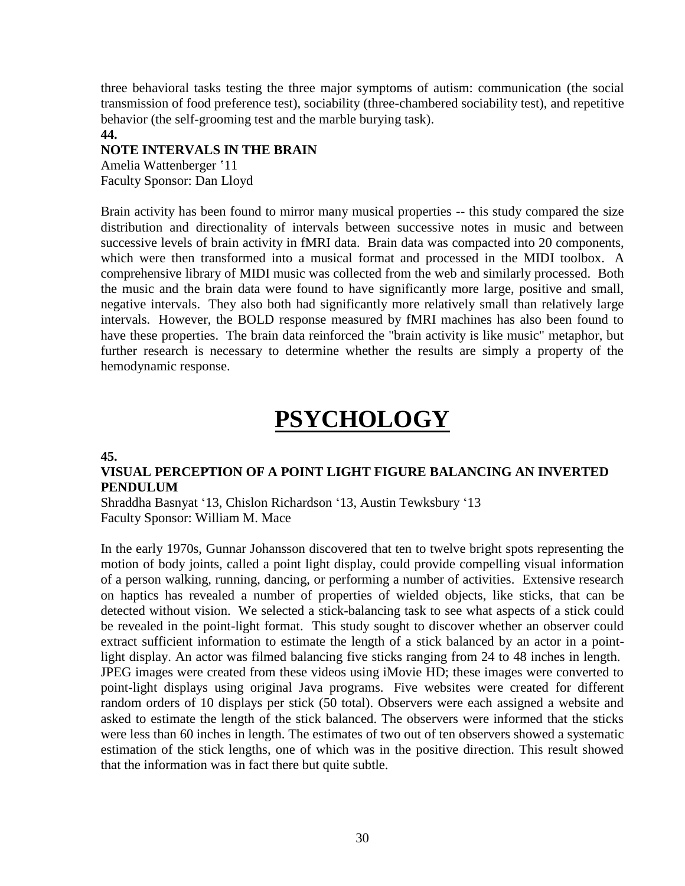three behavioral tasks testing the three major symptoms of autism: communication (the social transmission of food preference test), sociability (three-chambered sociability test), and repetitive behavior (the self-grooming test and the marble burying task).

#### **44.**

### **NOTE INTERVALS IN THE BRAIN**

Amelia Wattenberger '11 Faculty Sponsor: Dan Lloyd

Brain activity has been found to mirror many musical properties -- this study compared the size distribution and directionality of intervals between successive notes in music and between successive levels of brain activity in fMRI data. Brain data was compacted into 20 components, which were then transformed into a musical format and processed in the MIDI toolbox. A comprehensive library of MIDI music was collected from the web and similarly processed. Both the music and the brain data were found to have significantly more large, positive and small, negative intervals. They also both had significantly more relatively small than relatively large intervals. However, the BOLD response measured by fMRI machines has also been found to have these properties. The brain data reinforced the "brain activity is like music" metaphor, but further research is necessary to determine whether the results are simply a property of the hemodynamic response.

# **PSYCHOLOGY**

#### **45.**

### **VISUAL PERCEPTION OF A POINT LIGHT FIGURE BALANCING AN INVERTED PENDULUM**

Shraddha Basnyat '13, Chislon Richardson '13, Austin Tewksbury '13 Faculty Sponsor: William M. Mace

In the early 1970s, Gunnar Johansson discovered that ten to twelve bright spots representing the motion of body joints, called a point light display, could provide compelling visual information of a person walking, running, dancing, or performing a number of activities. Extensive research on haptics has revealed a number of properties of wielded objects, like sticks, that can be detected without vision. We selected a stick-balancing task to see what aspects of a stick could be revealed in the point-light format. This study sought to discover whether an observer could extract sufficient information to estimate the length of a stick balanced by an actor in a pointlight display. An actor was filmed balancing five sticks ranging from 24 to 48 inches in length. JPEG images were created from these videos using iMovie HD; these images were converted to point-light displays using original Java programs. Five websites were created for different random orders of 10 displays per stick (50 total). Observers were each assigned a website and asked to estimate the length of the stick balanced. The observers were informed that the sticks were less than 60 inches in length. The estimates of two out of ten observers showed a systematic estimation of the stick lengths, one of which was in the positive direction. This result showed that the information was in fact there but quite subtle.